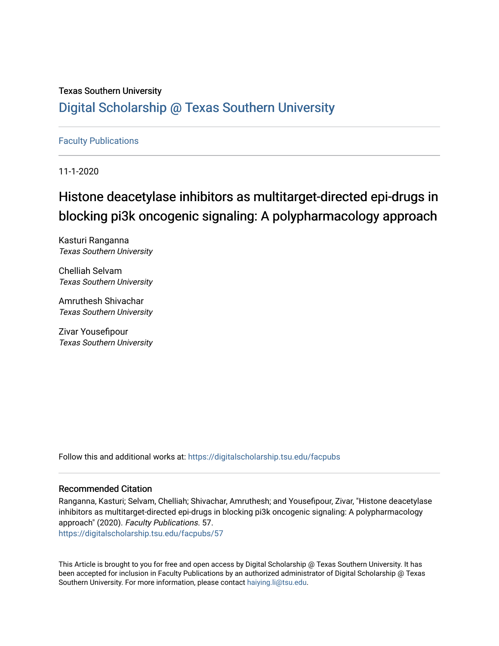## Texas Southern University [Digital Scholarship @ Texas Southern University](https://digitalscholarship.tsu.edu/)

## [Faculty Publications](https://digitalscholarship.tsu.edu/facpubs)

11-1-2020

# Histone deacetylase inhibitors as multitarget-directed epi-drugs in blocking pi3k oncogenic signaling: A polypharmacology approach

Kasturi Ranganna Texas Southern University

Chelliah Selvam Texas Southern University

Amruthesh Shivachar Texas Southern University

Zivar Yousefipour Texas Southern University

Follow this and additional works at: [https://digitalscholarship.tsu.edu/facpubs](https://digitalscholarship.tsu.edu/facpubs?utm_source=digitalscholarship.tsu.edu%2Ffacpubs%2F57&utm_medium=PDF&utm_campaign=PDFCoverPages) 

## Recommended Citation

Ranganna, Kasturi; Selvam, Chelliah; Shivachar, Amruthesh; and Yousefipour, Zivar, "Histone deacetylase inhibitors as multitarget-directed epi-drugs in blocking pi3k oncogenic signaling: A polypharmacology approach" (2020). Faculty Publications. 57. [https://digitalscholarship.tsu.edu/facpubs/57](https://digitalscholarship.tsu.edu/facpubs/57?utm_source=digitalscholarship.tsu.edu%2Ffacpubs%2F57&utm_medium=PDF&utm_campaign=PDFCoverPages)

This Article is brought to you for free and open access by Digital Scholarship @ Texas Southern University. It has been accepted for inclusion in Faculty Publications by an authorized administrator of Digital Scholarship @ Texas Southern University. For more information, please contact [haiying.li@tsu.edu](mailto:haiying.li@tsu.edu).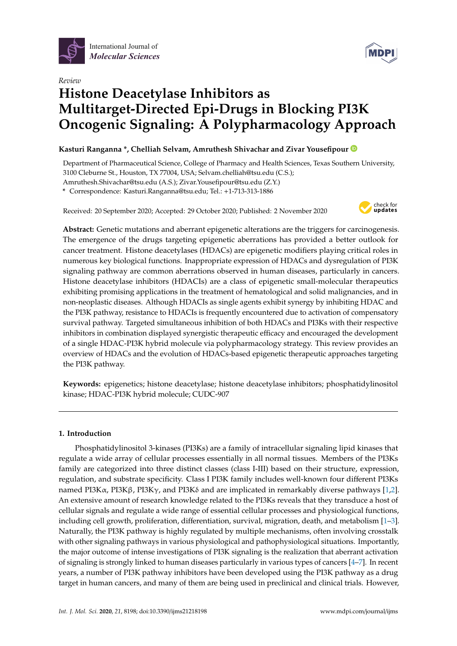



## *Review* **Histone Deacetylase Inhibitors as Multitarget-Directed Epi-Drugs in Blocking PI3K Oncogenic Signaling: A Polypharmacology Approach**

## **Kasturi Ranganna \*, Chelliah Selvam, Amruthesh Shivachar and Zivar Yousefipour**

Department of Pharmaceutical Science, College of Pharmacy and Health Sciences, Texas Southern University, 3100 Cleburne St., Houston, TX 77004, USA; Selvam.chelliah@tsu.edu (C.S.); Amruthesh.Shivachar@tsu.edu (A.S.); Zivar.Yousefipour@tsu.edu (Z.Y.)

**\*** Correspondence: Kasturi.Ranganna@tsu.edu; Tel.: +1-713-313-1886

Received: 20 September 2020; Accepted: 29 October 2020; Published: 2 November 2020



**Abstract:** Genetic mutations and aberrant epigenetic alterations are the triggers for carcinogenesis. The emergence of the drugs targeting epigenetic aberrations has provided a better outlook for cancer treatment. Histone deacetylases (HDACs) are epigenetic modifiers playing critical roles in numerous key biological functions. Inappropriate expression of HDACs and dysregulation of PI3K signaling pathway are common aberrations observed in human diseases, particularly in cancers. Histone deacetylase inhibitors (HDACIs) are a class of epigenetic small-molecular therapeutics exhibiting promising applications in the treatment of hematological and solid malignancies, and in non-neoplastic diseases. Although HDACIs as single agents exhibit synergy by inhibiting HDAC and the PI3K pathway, resistance to HDACIs is frequently encountered due to activation of compensatory survival pathway. Targeted simultaneous inhibition of both HDACs and PI3Ks with their respective inhibitors in combination displayed synergistic therapeutic efficacy and encouraged the development of a single HDAC-PI3K hybrid molecule via polypharmacology strategy. This review provides an overview of HDACs and the evolution of HDACs-based epigenetic therapeutic approaches targeting the PI3K pathway.

**Keywords:** epigenetics; histone deacetylase; histone deacetylase inhibitors; phosphatidylinositol kinase; HDAC-PI3K hybrid molecule; CUDC-907

### **1. Introduction**

Phosphatidylinositol 3-kinases (PI3Ks) are a family of intracellular signaling lipid kinases that regulate a wide array of cellular processes essentially in all normal tissues. Members of the PI3Ks family are categorized into three distinct classes (class I-III) based on their structure, expression, regulation, and substrate specificity. Class I PI3K family includes well-known four different PI3Ks named PI3Kα, PI3Kβ, PI3Kγ, and PI3Kδ and are implicated in remarkably diverse pathways [\[1,](#page-19-0)[2\]](#page-19-1). An extensive amount of research knowledge related to the PI3Ks reveals that they transduce a host of cellular signals and regulate a wide range of essential cellular processes and physiological functions, including cell growth, proliferation, differentiation, survival, migration, death, and metabolism [\[1–](#page-19-0)[3\]](#page-19-2). Naturally, the PI3K pathway is highly regulated by multiple mechanisms, often involving crosstalk with other signaling pathways in various physiological and pathophysiological situations. Importantly, the major outcome of intense investigations of PI3K signaling is the realization that aberrant activation of signaling is strongly linked to human diseases particularly in various types of cancers [\[4–](#page-19-3)[7\]](#page-19-4). In recent years, a number of PI3K pathway inhibitors have been developed using the PI3K pathway as a drug target in human cancers, and many of them are being used in preclinical and clinical trials. However,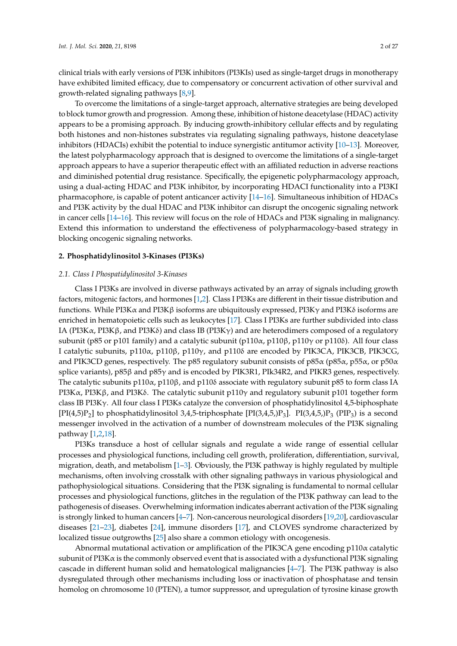clinical trials with early versions of PI3K inhibitors (PI3KIs) used as single-target drugs in monotherapy have exhibited limited efficacy, due to compensatory or concurrent activation of other survival and growth-related signaling pathways [\[8](#page-19-5)[,9\]](#page-19-6).

To overcome the limitations of a single-target approach, alternative strategies are being developed to block tumor growth and progression. Among these, inhibition of histone deacetylase (HDAC) activity appears to be a promising approach. By inducing growth-inhibitory cellular effects and by regulating both histones and non-histones substrates via regulating signaling pathways, histone deacetylase inhibitors (HDACIs) exhibit the potential to induce synergistic antitumor activity [\[10–](#page-19-7)[13\]](#page-20-0). Moreover, the latest polypharmacology approach that is designed to overcome the limitations of a single-target approach appears to have a superior therapeutic effect with an affiliated reduction in adverse reactions and diminished potential drug resistance. Specifically, the epigenetic polypharmacology approach, using a dual-acting HDAC and PI3K inhibitor, by incorporating HDACI functionality into a PI3KI pharmacophore, is capable of potent anticancer activity [\[14](#page-20-1)[–16\]](#page-20-2). Simultaneous inhibition of HDACs and PI3K activity by the dual HDAC and PI3K inhibitor can disrupt the oncogenic signaling network in cancer cells [\[14–](#page-20-1)[16\]](#page-20-2). This review will focus on the role of HDACs and PI3K signaling in malignancy. Extend this information to understand the effectiveness of polypharmacology-based strategy in blocking oncogenic signaling networks.

#### **2. Phosphatidylinositol 3-Kinases (PI3Ks)**

#### *2.1. Class I Phospatidylinositol 3-Kinases*

Class I PI3Ks are involved in diverse pathways activated by an array of signals including growth factors, mitogenic factors, and hormones [\[1](#page-19-0)[,2\]](#page-19-1). Class I PI3Ks are different in their tissue distribution and functions. While PI3Kα and PI3Kβ isoforms are ubiquitously expressed, PI3K $γ$  and PI3Kδ isoforms are enriched in hematopoietic cells such as leukocytes [\[17\]](#page-20-3). Class I PI3Ks are further subdivided into class IA (PI3K $\alpha$ , PI3K $\beta$ , and PI3K $\delta$ ) and class IB (PI3K $\gamma$ ) and are heterodimers composed of a regulatory subunit (p85 or p101 family) and a catalytic subunit (p110α, p110β, p110γ or p110δ). All four class I catalytic subunits, p110α, p110β, p110γ, and p110δ are encoded by PIK3CA, PIK3CB, PIK3CG, and PIK3CD genes, respectively. The p85 regulatory subunit consists of p85α (p85α, p55α, or p50α splice variants), p85β and p85γ and is encoded by PIK3R1, PIk34R2, and PIKR3 genes, respectively. The catalytic subunits p110α, p110β, and p110δ associate with regulatory subunit p85 to form class IA PI3Kα, PI3Kβ, and PI3Kδ. The catalytic subunit p110γ and regulatory subunit p101 together form class IB PI3Kγ. All four class I PI3Ks catalyze the conversion of phosphatidylinositol 4,5-biphosphate  $[PI(4,5)P_2]$  to phosphatidylinositol 3,4,5-triphosphate  $[PI(3,4,5,)P_3]$ .  $PI(3,4,5,)P_3$  (PIP<sub>3</sub>) is a second messenger involved in the activation of a number of downstream molecules of the PI3K signaling pathway [\[1](#page-19-0)[,2](#page-19-1)[,18\]](#page-20-4).

PI3Ks transduce a host of cellular signals and regulate a wide range of essential cellular processes and physiological functions, including cell growth, proliferation, differentiation, survival, migration, death, and metabolism [\[1–](#page-19-0)[3\]](#page-19-2). Obviously, the PI3K pathway is highly regulated by multiple mechanisms, often involving crosstalk with other signaling pathways in various physiological and pathophysiological situations. Considering that the PI3K signaling is fundamental to normal cellular processes and physiological functions, glitches in the regulation of the PI3K pathway can lead to the pathogenesis of diseases. Overwhelming information indicates aberrant activation of the PI3K signaling is strongly linked to human cancers [\[4–](#page-19-3)[7\]](#page-19-4). Non-cancerous neurological disorders [\[19](#page-20-5)[,20\]](#page-20-6), cardiovascular diseases [\[21–](#page-20-7)[23\]](#page-20-8), diabetes [\[24\]](#page-20-9), immune disorders [\[17\]](#page-20-3), and CLOVES syndrome characterized by localized tissue outgrowths [\[25\]](#page-20-10) also share a common etiology with oncogenesis.

Abnormal mutational activation or amplification of the PIK3CA gene encoding p110α catalytic subunit of PI3K $\alpha$  is the commonly observed event that is associated with a dysfunctional PI3K signaling cascade in different human solid and hematological malignancies [\[4](#page-19-3)[–7\]](#page-19-4). The PI3K pathway is also dysregulated through other mechanisms including loss or inactivation of phosphatase and tensin homolog on chromosome 10 (PTEN), a tumor suppressor, and upregulation of tyrosine kinase growth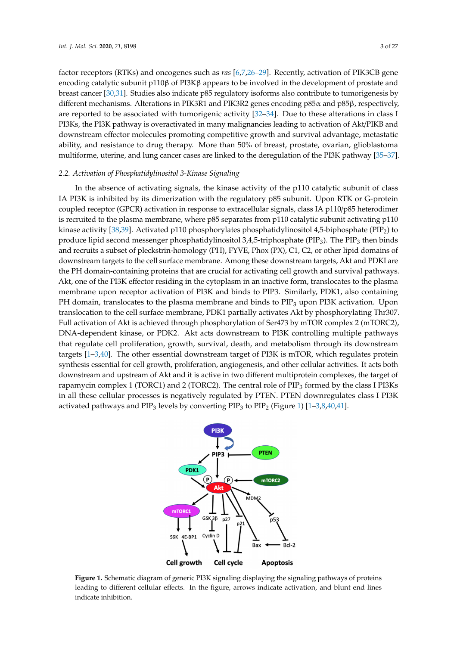factor receptors (RTKs) and oncogenes such as *ras* [\[6,](#page-19-8)[7,](#page-19-4)[26](#page-20-11)-29]. Recently, activation of PIK3CB gene encoding catalytic subunit p110β of PI3Kβ appears to be involved in the development of prostate and breast cancer [\[30](#page-20-13)[,31\]](#page-20-14). Studies also indicate p85 regulatory isoforms also contribute to tumorigenesis by ordast dation persons. Alterations in PIK3R1 and PIK3R2 genes encoding p85α and p85β, respectively, are reported to be associated with tumorigenic activity [\[32–](#page-20-15)[34\]](#page-20-16). Due to these alterations in class I<br>PI3Ks, the PI3Ks, the PI3Ks, the PI3Ks pathway is overall to provide the providence in many manufactures leadin PI3Ks, the PI3K pathway is overactivated in many malignancies leading to activation of Akt/PIKB and downstream effector molecules promoting competitive growth and survival advantage, metastatic ability, and resistance to drug therapy. More than 50% of breast, prostate, ovarian, glioblastoma multiforme, uterine, and lung cancer cases are linked to the deregulation of the PI3K pathway [\[35–](#page-20-17)[37\]](#page-21-0). deregulation of the PI3K pathway [35–37]. percharacteristic are relativity in FRSN and TRONG theory spectrum tumorigenic activity in the set of the District of the District and the set of the District of the District of the District of the District of the District

## *2.2. Activation of Phosphatidylinositol 3-Kinase Signaling 2.2. Activation of Phosphatidylinositol 3-Kinase Signaling*

In the absence of activating signals, the kinase activity of the  $p110$  catalytic subunit of class IA PI3K is inhibited by its dimerization with the regulatory p85 subunit. Upon RTK or G-protein coupled receptor (GPCR) activation in response to extracellular signals, class IA p110/p85 heterodimer receptor (GPCR) activation in response to extracellular signals, class IA p110/p85 heterodimer is is recruited to the plasma membrane, where p85 separates from p110 catalytic subunit activating p110  $\,$ kinase activit[y \[3](#page-21-1)[8,3](#page-21-2)9]. Activated p110 phosphorylates phosphatidylinositol 4,5-biphosphate (PIP<sub>2</sub>) to produce lipid second messenger phosphatidylinositol 3,4,5-triphosphate (PIP<sub>3</sub>). The PIP<sub>3</sub> then binds and recruits a subset of pleckstrin-homology (PH), FYVE, Phox (PX), C1, C2, or other lipid domains of downstream targets to the cell surface membrane. Among these downstream targets, Akt and PDKI are the PH domain-containing proteins that are crucial for activating cell growth and survival pathways. Akt, one of the PI3K effector residing in the cytoplasm in an inactive form, translocates to the plasma membrane upon receptor activation of PI3K and binds to PIP3. Similarly, PDK1, also containing PH domain, translocates to the plasma membrane and binds to  $\text{PIP}_3$  upon PI3K activation. Upon translocation to the cell surface membrane, PDK1 partially activates Akt by phosphorylating Thr307. Thrace emerges in the construction of the complex activities of the paramic state can by prospectly ming service.<br>Full activation of Akt is achieved through phosphorylation of Ser473 by mTOR complex 2 (mTORC2), Pan activation of the is active a allocagit prospheryation of set if s symmetric complex 2 (inferred),<br>DNA-dependent kinase, or PDK2. Akt acts downstream to PI3K controlling multiple pathways that regulate cell proliferation, growth, survival, death, and metabolism through its downstream targets in the other essential downstream targets  $\frac{1}{2}$ targets [\[1](#page-19-0)[–3](#page-19-2)[,40\]](#page-21-3). The other essential downstream target of PI3K is mTOR, which regulates protein synthesis essential for cell growth, proliferation, angiogenesis, and other cellular activities. It acts both downstream and upstream of Akt and it is active in two different multiprotein complexes, the target of rapamycin complex 1 (TORC1) and 2 (TORC2). The central role of  $\mathrm{PIP}_3$  formed by the class I PI3Ks in all these cellular processes is negatively regulated by PTEN. PTEN downregulates class I PI3K activated pathways and PIP<sub>3</sub> levels by converting PIP<sub>3</sub> to PIP<sub>2</sub> (Figure [1\)](#page-3-0) [\[1](#page-19-0)[–3](#page-19-2)[,8](#page-19-5)[,40](#page-21-3)[,41\]](#page-21-4). participation, and the cell process that also downloaded it is a controlling matter pathway

<span id="page-3-0"></span>

**Figure 1.** Schematic diagram of generic PI3K signaling displaying the signaling pathways of proteins **Figure 1.** Schematic diagram of generic PI3K signaling displaying the signaling pathways of proteins leading to different cellular effects. In the figure, arrows indicate activation, and blunt end lines leading to different cellular effects. In the figure, arrows indicate activation, and blunt end lines indicate inhibition. indicate inhibition.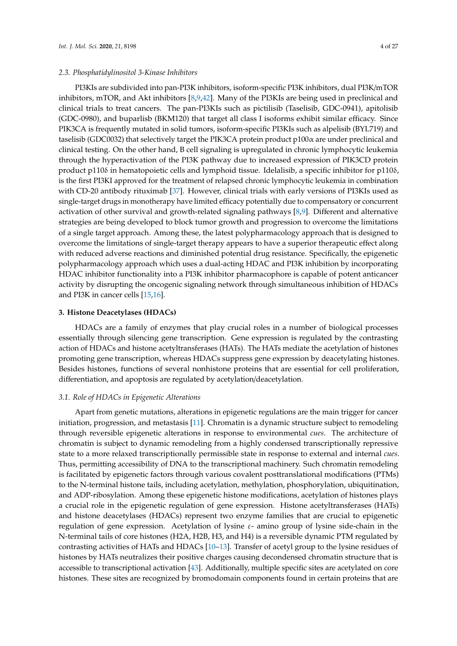#### *2.3. Phosphatidylinositol 3-Kinase Inhibitors*

PI3KIs are subdivided into pan-PI3K inhibitors, isoform-specific PI3K inhibitors, dual PI3K/mTOR inhibitors, mTOR, and Akt inhibitors [\[8](#page-19-5)[,9](#page-19-6)[,42\]](#page-21-5). Many of the PI3KIs are being used in preclinical and clinical trials to treat cancers. The pan-PI3KIs such as pictilisib (Taselisib, GDC-0941), apitolisib (GDC-0980), and buparlisb (BKM120) that target all class I isoforms exhibit similar efficacy. Since PIK3CA is frequently mutated in solid tumors, isoform-specific PI3KIs such as alpelisib (BYL719) and taselisib (GDC0032) that selectively target the PIK3CA protein product p100α are under preclinical and clinical testing. On the other hand, B cell signaling is upregulated in chronic lymphocytic leukemia through the hyperactivation of the PI3K pathway due to increased expression of PIK3CD protein product p110δ in hematopoietic cells and lymphoid tissue. Idelalisib, a specific inhibitor for p110δ, is the first PI3KI approved for the treatment of relapsed chronic lymphocytic leukemia in combination with CD-20 antibody rituximab [\[37\]](#page-21-0). However, clinical trials with early versions of PI3KIs used as single-target drugs in monotherapy have limited efficacy potentially due to compensatory or concurrent activation of other survival and growth-related signaling pathways [\[8](#page-19-5)[,9\]](#page-19-6). Different and alternative strategies are being developed to block tumor growth and progression to overcome the limitations of a single target approach. Among these, the latest polypharmacology approach that is designed to overcome the limitations of single-target therapy appears to have a superior therapeutic effect along with reduced adverse reactions and diminished potential drug resistance. Specifically, the epigenetic polypharmacology approach which uses a dual-acting HDAC and PI3K inhibition by incorporating HDAC inhibitor functionality into a PI3K inhibitor pharmacophore is capable of potent anticancer activity by disrupting the oncogenic signaling network through simultaneous inhibition of HDACs and PI3K in cancer cells [\[15](#page-20-18)[,16\]](#page-20-2).

#### **3. Histone Deacetylases (HDACs)**

HDACs are a family of enzymes that play crucial roles in a number of biological processes essentially through silencing gene transcription. Gene expression is regulated by the contrasting action of HDACs and histone acetyltransferases (HATs). The HATs mediate the acetylation of histones promoting gene transcription, whereas HDACs suppress gene expression by deacetylating histones. Besides histones, functions of several nonhistone proteins that are essential for cell proliferation, differentiation, and apoptosis are regulated by acetylation/deacetylation.

#### *3.1. Role of HDACs in Epigenetic Alterations*

Apart from genetic mutations, alterations in epigenetic regulations are the main trigger for cancer initiation, progression, and metastasis [\[11\]](#page-19-9). Chromatin is a dynamic structure subject to remodeling through reversible epigenetic alterations in response to environmental *cues*. The architecture of chromatin is subject to dynamic remodeling from a highly condensed transcriptionally repressive state to a more relaxed transcriptionally permissible state in response to external and internal *cues*. Thus, permitting accessibility of DNA to the transcriptional machinery. Such chromatin remodeling is facilitated by epigenetic factors through various covalent posttranslational modifications (PTMs) to the N-terminal histone tails, including acetylation, methylation, phosphorylation, ubiquitination, and ADP-ribosylation. Among these epigenetic histone modifications, acetylation of histones plays a crucial role in the epigenetic regulation of gene expression. Histone acetyltransferases (HATs) and histone deacetylases (HDACs) represent two enzyme families that are crucial to epigenetic regulation of gene expression. Acetylation of lysine  $ε$ - amino group of lysine side-chain in the N-terminal tails of core histones (H2A, H2B, H3, and H4) is a reversible dynamic PTM regulated by contrasting activities of HATs and HDACs [\[10–](#page-19-7)[13\]](#page-20-0). Transfer of acetyl group to the lysine residues of histones by HATs neutralizes their positive charges causing decondensed chromatin structure that is accessible to transcriptional activation [\[43\]](#page-21-6). Additionally, multiple specific sites are acetylated on core histones. These sites are recognized by bromodomain components found in certain proteins that are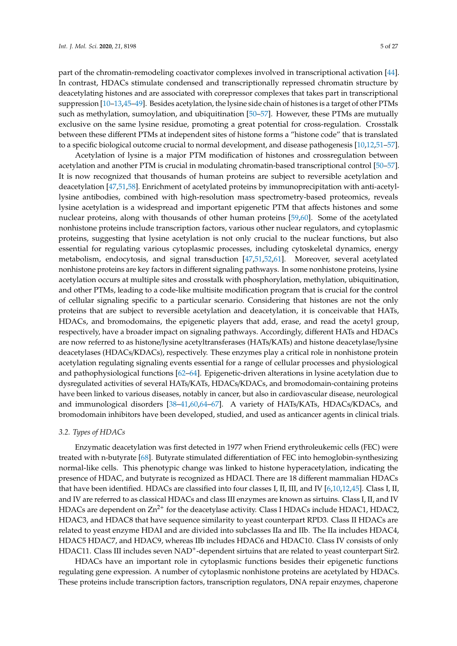part of the chromatin-remodeling coactivator complexes involved in transcriptional activation [\[44\]](#page-21-7). In contrast, HDACs stimulate condensed and transcriptionally repressed chromatin structure by deacetylating histones and are associated with corepressor complexes that takes part in transcriptional suppression [\[10–](#page-19-7)[13,](#page-20-0)[45](#page-21-8)[–49\]](#page-21-9). Besides acetylation, the lysine side chain of histones is a target of other PTMs such as methylation, sumoylation, and ubiquitination [\[50–](#page-21-10)[57\]](#page-21-11). However, these PTMs are mutually exclusive on the same lysine residue, promoting a great potential for cross-regulation. Crosstalk between these different PTMs at independent sites of histone forms a "histone code" that is translated to a specific biological outcome crucial to normal development, and disease pathogenesis [\[10,](#page-19-7)[12,](#page-19-10)[51–](#page-21-12)[57\]](#page-21-11).

Acetylation of lysine is a major PTM modification of histones and crossregulation between acetylation and another PTM is crucial in modulating chromatin-based transcriptional control [\[50–](#page-21-10)[57\]](#page-21-11). It is now recognized that thousands of human proteins are subject to reversible acetylation and deacetylation [\[47](#page-21-13)[,51,](#page-21-12)[58\]](#page-21-14). Enrichment of acetylated proteins by immunoprecipitation with anti-acetyllysine antibodies, combined with high-resolution mass spectrometry-based proteomics, reveals lysine acetylation is a widespread and important epigenetic PTM that affects histones and some nuclear proteins, along with thousands of other human proteins [\[59,](#page-22-0)[60\]](#page-22-1). Some of the acetylated nonhistone proteins include transcription factors, various other nuclear regulators, and cytoplasmic proteins, suggesting that lysine acetylation is not only crucial to the nuclear functions, but also essential for regulating various cytoplasmic processes, including cytoskeletal dynamics, energy metabolism, endocytosis, and signal transduction [\[47,](#page-21-13)[51,](#page-21-12)[52,](#page-21-15)[61\]](#page-22-2). Moreover, several acetylated nonhistone proteins are key factors in different signaling pathways. In some nonhistone proteins, lysine acetylation occurs at multiple sites and crosstalk with phosphorylation, methylation, ubiquitination, and other PTMs, leading to a code-like multisite modification program that is crucial for the control of cellular signaling specific to a particular scenario. Considering that histones are not the only proteins that are subject to reversible acetylation and deacetylation, it is conceivable that HATs, HDACs, and bromodomains, the epigenetic players that add, erase, and read the acetyl group, respectively, have a broader impact on signaling pathways. Accordingly, different HATs and HDACs are now referred to as histone/lysine acetyltransferases (HATs/KATs) and histone deacetylase/lysine deacetylases (HDACs/KDACs), respectively. These enzymes play a critical role in nonhistone protein acetylation regulating signaling events essential for a range of cellular processes and physiological and pathophysiological functions [\[62–](#page-22-3)[64\]](#page-22-4). Epigenetic-driven alterations in lysine acetylation due to dysregulated activities of several HATs/KATs, HDACs/KDACs, and bromodomain-containing proteins have been linked to various diseases, notably in cancer, but also in cardiovascular disease, neurological and immunological disorders [\[38](#page-21-1)[–41](#page-21-4)[,60](#page-22-1)[,64](#page-22-4)[–67\]](#page-22-5). A variety of HATs/KATs, HDACs/KDACs, and bromodomain inhibitors have been developed, studied, and used as anticancer agents in clinical trials.

#### *3.2. Types of HDACs*

Enzymatic deacetylation was first detected in 1977 when Friend erythroleukemic cells (FEC) were treated with n-butyrate [\[68\]](#page-22-6). Butyrate stimulated differentiation of FEC into hemoglobin-synthesizing normal-like cells. This phenotypic change was linked to histone hyperacetylation, indicating the presence of HDAC, and butyrate is recognized as HDACI. There are 18 different mammalian HDACs that have been identified. HDACs are classified into four classes I, II, III, and IV [\[6](#page-19-8)[,10](#page-19-7)[,12,](#page-19-10)[45\]](#page-21-8). Class I, II, and IV are referred to as classical HDACs and class III enzymes are known as sirtuins. Class I, II, and IV HDACs are dependent on  $Zn^{2+}$  for the deacetylase activity. Class I HDACs include HDAC1, HDAC2, HDAC3, and HDAC8 that have sequence similarity to yeast counterpart RPD3. Class II HDACs are related to yeast enzyme HDAI and are divided into subclasses IIa and IIb. The IIa includes HDAC4, HDAC5 HDAC7, and HDAC9, whereas IIb includes HDAC6 and HDAC10. Class IV consists of only HDAC11. Class III includes seven NAD<sup>+</sup>-dependent sirtuins that are related to yeast counterpart Sir2.

HDACs have an important role in cytoplasmic functions besides their epigenetic functions regulating gene expression. A number of cytoplasmic nonhistone proteins are acetylated by HDACs. These proteins include transcription factors, transcription regulators, DNA repair enzymes, chaperone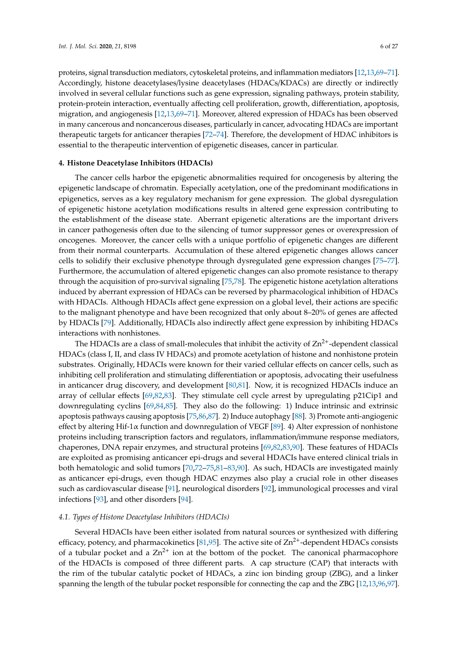proteins, signal transduction mediators, cytoskeletal proteins, and inflammation mediators [\[12](#page-19-10)[,13,](#page-20-0)[69–](#page-22-7)[71\]](#page-22-8). Accordingly, histone deacetylases/lysine deacetylases (HDACs/KDACs) are directly or indirectly involved in several cellular functions such as gene expression, signaling pathways, protein stability, protein-protein interaction, eventually affecting cell proliferation, growth, differentiation, apoptosis, migration, and angiogenesis [\[12,](#page-19-10)[13,](#page-20-0)[69–](#page-22-7)[71\]](#page-22-8). Moreover, altered expression of HDACs has been observed in many cancerous and noncancerous diseases, particularly in cancer, advocating HDACs are important therapeutic targets for anticancer therapies [\[72](#page-22-9)[–74\]](#page-22-10). Therefore, the development of HDAC inhibitors is essential to the therapeutic intervention of epigenetic diseases, cancer in particular.

#### **4. Histone Deacetylase Inhibitors (HDACIs)**

The cancer cells harbor the epigenetic abnormalities required for oncogenesis by altering the epigenetic landscape of chromatin. Especially acetylation, one of the predominant modifications in epigenetics, serves as a key regulatory mechanism for gene expression. The global dysregulation of epigenetic histone acetylation modifications results in altered gene expression contributing to the establishment of the disease state. Aberrant epigenetic alterations are the important drivers in cancer pathogenesis often due to the silencing of tumor suppressor genes or overexpression of oncogenes. Moreover, the cancer cells with a unique portfolio of epigenetic changes are different from their normal counterparts. Accumulation of these altered epigenetic changes allows cancer cells to solidify their exclusive phenotype through dysregulated gene expression changes [\[75–](#page-22-11)[77\]](#page-22-12). Furthermore, the accumulation of altered epigenetic changes can also promote resistance to therapy through the acquisition of pro-survival signaling [\[75](#page-22-11)[,78\]](#page-22-13). The epigenetic histone acetylation alterations induced by aberrant expression of HDACs can be reversed by pharmacological inhibition of HDACs with HDACIs. Although HDACIs affect gene expression on a global level, their actions are specific to the malignant phenotype and have been recognized that only about 8–20% of genes are affected by HDACIs [\[79\]](#page-22-14). Additionally, HDACIs also indirectly affect gene expression by inhibiting HDACs interactions with nonhistones.

The HDACIs are a class of small-molecules that inhibit the activity of  $Zn^{2+}$ -dependent classical HDACs (class I, II, and class IV HDACs) and promote acetylation of histone and nonhistone protein substrates. Originally, HDACIs were known for their varied cellular effects on cancer cells, such as inhibiting cell proliferation and stimulating differentiation or apoptosis, advocating their usefulness in anticancer drug discovery, and development [\[80](#page-22-15)[,81\]](#page-22-16). Now, it is recognized HDACIs induce an array of cellular effects [\[69](#page-22-7)[,82](#page-22-17)[,83\]](#page-23-0). They stimulate cell cycle arrest by upregulating p21Cip1 and downregulating cyclins [\[69,](#page-22-7)[84,](#page-23-1)[85\]](#page-23-2). They also do the following: 1) Induce intrinsic and extrinsic apoptosis pathways causing apoptosis [\[75](#page-22-11)[,86,](#page-23-3)[87\]](#page-23-4). 2) Induce autophagy [\[88\]](#page-23-5). 3) Promote anti-angiogenic effect by altering Hif-1 $\alpha$  function and downregulation of VEGF [\[89\]](#page-23-6). 4) Alter expression of nonhistone proteins including transcription factors and regulators, inflammation/immune response mediators, chaperones, DNA repair enzymes, and structural proteins [\[69,](#page-22-7)[82,](#page-22-17)[83,](#page-23-0)[90\]](#page-23-7). These features of HDACIs are exploited as promising anticancer epi-drugs and several HDACIs have entered clinical trials in both hematologic and solid tumors [\[70](#page-22-18)[,72–](#page-22-9)[75](#page-22-11)[,81](#page-22-16)[–83](#page-23-0)[,90\]](#page-23-7). As such, HDACIs are investigated mainly as anticancer epi-drugs, even though HDAC enzymes also play a crucial role in other diseases such as cardiovascular disease [\[91\]](#page-23-8), neurological disorders [\[92\]](#page-23-9), immunological processes and viral infections [\[93\]](#page-23-10), and other disorders [\[94\]](#page-23-11).

#### <span id="page-6-0"></span>*4.1. Types of Histone Deacetylase Inhibitors (HDACIs)*

Several HDACIs have been either isolated from natural sources or synthesized with differing efficacy, potency, and pharmacokinetics [\[81](#page-22-16)[,95\]](#page-23-12). The active site of  $\text{Zn}^{2+}$ -dependent HDACs consists of a tubular pocket and a  $Zn^{2+}$  ion at the bottom of the pocket. The canonical pharmacophore of the HDACIs is composed of three different parts. A cap structure (CAP) that interacts with the rim of the tubular catalytic pocket of HDACs, a zinc ion binding group (ZBG), and a linker spanning the length of the tubular pocket responsible for connecting the cap and the ZBG [\[12,](#page-19-10)[13](#page-20-0)[,96](#page-23-13)[,97\]](#page-23-14).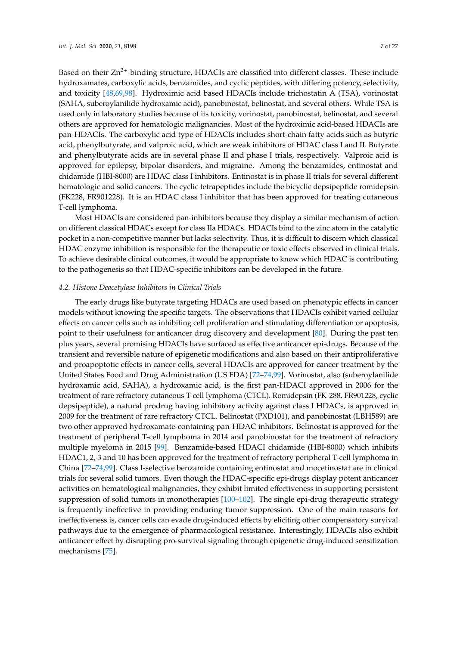Based on their  $Zn^{2+}$ -binding structure, HDACIs are classified into different classes. These include hydroxamates, carboxylic acids, benzamides, and cyclic peptides, with differing potency, selectivity, and toxicity [\[48,](#page-21-16)[69,](#page-22-7)[98\]](#page-23-15). Hydroximic acid based HDACIs include trichostatin A (TSA), vorinostat (SAHA, suberoylanilide hydroxamic acid), panobinostat, belinostat, and several others. While TSA is used only in laboratory studies because of its toxicity, vorinostat, panobinostat, belinostat, and several others are approved for hematologic malignancies. Most of the hydroximic acid-based HDACIs are pan-HDACIs. The carboxylic acid type of HDACIs includes short-chain fatty acids such as butyric acid, phenylbutyrate, and valproic acid, which are weak inhibitors of HDAC class I and II. Butyrate and phenylbutyrate acids are in several phase II and phase I trials, respectively. Valproic acid is approved for epilepsy, bipolar disorders, and migraine. Among the benzamides, entinostat and chidamide (HBI-8000) are HDAC class I inhibitors. Entinostat is in phase II trials for several different hematologic and solid cancers. The cyclic tetrapeptides include the bicyclic depsipeptide romidepsin (FK228, FR901228). It is an HDAC class I inhibitor that has been approved for treating cutaneous T-cell lymphoma.

Most HDACIs are considered pan-inhibitors because they display a similar mechanism of action on different classical HDACs except for class IIa HDACs. HDACIs bind to the zinc atom in the catalytic pocket in a non-competitive manner but lacks selectivity. Thus, it is difficult to discern which classical HDAC enzyme inhibition is responsible for the therapeutic or toxic effects observed in clinical trials. To achieve desirable clinical outcomes, it would be appropriate to know which HDAC is contributing to the pathogenesis so that HDAC-specific inhibitors can be developed in the future.

#### *4.2. Histone Deacetylase Inhibitors in Clinical Trials*

The early drugs like butyrate targeting HDACs are used based on phenotypic effects in cancer models without knowing the specific targets. The observations that HDACIs exhibit varied cellular effects on cancer cells such as inhibiting cell proliferation and stimulating differentiation or apoptosis, point to their usefulness for anticancer drug discovery and development [\[80\]](#page-22-15). During the past ten plus years, several promising HDACIs have surfaced as effective anticancer epi-drugs. Because of the transient and reversible nature of epigenetic modifications and also based on their antiproliferative and proapoptotic effects in cancer cells, several HDACIs are approved for cancer treatment by the United States Food and Drug Administration (US FDA) [\[72–](#page-22-9)[74](#page-22-10)[,99\]](#page-23-16). Vorinostat, also (suberoylanilide hydroxamic acid, SAHA), a hydroxamic acid, is the first pan-HDACI approved in 2006 for the treatment of rare refractory cutaneous T-cell lymphoma (CTCL). Romidepsin (FK-288, FR901228, cyclic depsipeptide), a natural prodrug having inhibitory activity against class I HDACs, is approved in 2009 for the treatment of rare refractory CTCL. Belinostat (PXD101), and panobinostat (LBH589) are two other approved hydroxamate-containing pan-HDAC inhibitors. Belinostat is approved for the treatment of peripheral T-cell lymphoma in 2014 and panobinostat for the treatment of refractory multiple myeloma in 2015 [\[99\]](#page-23-16). Benzamide-based HDACI chidamide (HBI-8000) which inhibits HDAC1, 2, 3 and 10 has been approved for the treatment of refractory peripheral T-cell lymphoma in China [\[72](#page-22-9)[–74](#page-22-10)[,99\]](#page-23-16). Class I-selective benzamide containing entinostat and mocetinostat are in clinical trials for several solid tumors. Even though the HDAC-specific epi-drugs display potent anticancer activities on hematological malignancies, they exhibit limited effectiveness in supporting persistent suppression of solid tumors in monotherapies [\[100](#page-23-17)[–102\]](#page-23-18). The single epi-drug therapeutic strategy is frequently ineffective in providing enduring tumor suppression. One of the main reasons for ineffectiveness is, cancer cells can evade drug-induced effects by eliciting other compensatory survival pathways due to the emergence of pharmacological resistance. Interestingly, HDACIs also exhibit anticancer effect by disrupting pro-survival signaling through epigenetic drug-induced sensitization mechanisms [\[75\]](#page-22-11).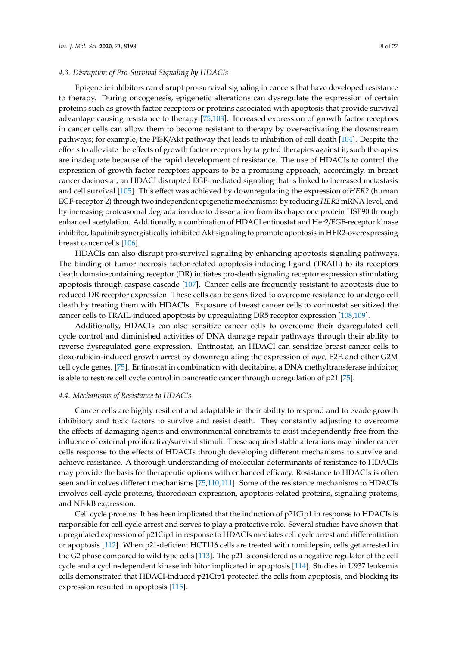#### *4.3. Disruption of Pro-Survival Signaling by HDACIs*

Epigenetic inhibitors can disrupt pro-survival signaling in cancers that have developed resistance to therapy. During oncogenesis, epigenetic alterations can dysregulate the expression of certain proteins such as growth factor receptors or proteins associated with apoptosis that provide survival advantage causing resistance to therapy [\[75,](#page-22-11)[103\]](#page-24-0). Increased expression of growth factor receptors in cancer cells can allow them to become resistant to therapy by over-activating the downstream pathways; for example, the PI3K/Akt pathway that leads to inhibition of cell death [\[104\]](#page-24-1). Despite the efforts to alleviate the effects of growth factor receptors by targeted therapies against it, such therapies are inadequate because of the rapid development of resistance. The use of HDACIs to control the expression of growth factor receptors appears to be a promising approach; accordingly, in breast cancer dacinostat, an HDACI disrupted EGF-mediated signaling that is linked to increased metastasis and cell survival [\[105\]](#page-24-2). This effect was achieved by downregulating the expression of*HER2* (human EGF-receptor-2) through two independent epigenetic mechanisms: by reducing *HER2* mRNA level, and by increasing proteasomal degradation due to dissociation from its chaperone protein HSP90 through enhanced acetylation. Additionally, a combination of HDACI entinostat and Her2/EGF-receptor kinase inhibitor, lapatinib synergistically inhibited Akt signaling to promote apoptosis in HER2-overexpressing breast cancer cells [\[106\]](#page-24-3).

HDACIs can also disrupt pro-survival signaling by enhancing apoptosis signaling pathways. The binding of tumor necrosis factor-related apoptosis-inducing ligand (TRAIL) to its receptors death domain-containing receptor (DR) initiates pro-death signaling receptor expression stimulating apoptosis through caspase cascade [\[107\]](#page-24-4). Cancer cells are frequently resistant to apoptosis due to reduced DR receptor expression. These cells can be sensitized to overcome resistance to undergo cell death by treating them with HDACIs. Exposure of breast cancer cells to vorinostat sensitized the cancer cells to TRAIL-induced apoptosis by upregulating DR5 receptor expression [\[108](#page-24-5)[,109\]](#page-24-6).

Additionally, HDACIs can also sensitize cancer cells to overcome their dysregulated cell cycle control and diminished activities of DNA damage repair pathways through their ability to reverse dysregulated gene expression. Entinostat, an HDACI can sensitize breast cancer cells to doxorubicin-induced growth arrest by downregulating the expression of *myc,* E2F, and other G2M cell cycle genes. [\[75\]](#page-22-11). Entinostat in combination with decitabine, a DNA methyltransferase inhibitor, is able to restore cell cycle control in pancreatic cancer through upregulation of p21 [\[75\]](#page-22-11).

#### *4.4. Mechanisms of Resistance to HDACIs*

Cancer cells are highly resilient and adaptable in their ability to respond and to evade growth inhibitory and toxic factors to survive and resist death. They constantly adjusting to overcome the effects of damaging agents and environmental constraints to exist independently free from the influence of external proliferative/survival stimuli. These acquired stable alterations may hinder cancer cells response to the effects of HDACIs through developing different mechanisms to survive and achieve resistance. A thorough understanding of molecular determinants of resistance to HDACIs may provide the basis for therapeutic options with enhanced efficacy. Resistance to HDACIs is often seen and involves different mechanisms [\[75,](#page-22-11)[110](#page-24-7)[,111\]](#page-24-8). Some of the resistance mechanisms to HDACIs involves cell cycle proteins, thioredoxin expression, apoptosis-related proteins, signaling proteins, and NF-kB expression.

Cell cycle proteins: It has been implicated that the induction of p21Cip1 in response to HDACIs is responsible for cell cycle arrest and serves to play a protective role. Several studies have shown that upregulated expression of p21Cip1 in response to HDACIs mediates cell cycle arrest and differentiation or apoptosis [\[112\]](#page-24-9). When p21-deficient HCT116 cells are treated with romidepsin, cells get arrested in the G2 phase compared to wild type cells [\[113\]](#page-24-10). The p21 is considered as a negative regulator of the cell cycle and a cyclin-dependent kinase inhibitor implicated in apoptosis [\[114\]](#page-24-11). Studies in U937 leukemia cells demonstrated that HDACI-induced p21Cip1 protected the cells from apoptosis, and blocking its expression resulted in apoptosis [\[115\]](#page-24-12).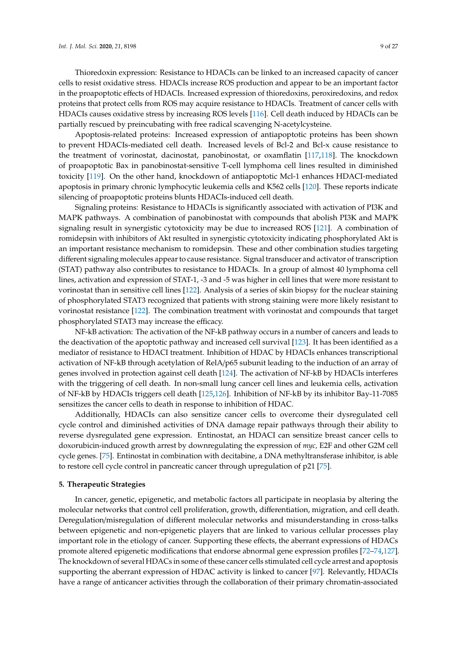Thioredoxin expression: Resistance to HDACIs can be linked to an increased capacity of cancer cells to resist oxidative stress. HDACIs increase ROS production and appear to be an important factor in the proapoptotic effects of HDACIs. Increased expression of thioredoxins, peroxiredoxins, and redox proteins that protect cells from ROS may acquire resistance to HDACIs. Treatment of cancer cells with HDACIs causes oxidative stress by increasing ROS levels [\[116\]](#page-24-13). Cell death induced by HDACIs can be partially rescued by preincubating with free radical scavenging N-acetylcysteine.

Apoptosis-related proteins: Increased expression of antiapoptotic proteins has been shown to prevent HDACIs-mediated cell death. Increased levels of Bcl-2 and Bcl-x cause resistance to the treatment of vorinostat, dacinostat, panobinostat, or oxamflatin [\[117](#page-24-14)[,118\]](#page-24-15). The knockdown of proapoptotic Bax in panobinostat-sensitive T-cell lymphoma cell lines resulted in diminished toxicity [\[119\]](#page-24-16). On the other hand, knockdown of antiapoptotic Mcl-1 enhances HDACI-mediated apoptosis in primary chronic lymphocytic leukemia cells and K562 cells [\[120\]](#page-24-17). These reports indicate silencing of proapoptotic proteins blunts HDACIs-induced cell death.

Signaling proteins: Resistance to HDACIs is significantly associated with activation of PI3K and MAPK pathways. A combination of panobinostat with compounds that abolish PI3K and MAPK signaling result in synergistic cytotoxicity may be due to increased ROS [\[121\]](#page-25-0). A combination of romidepsin with inhibitors of Akt resulted in synergistic cytotoxicity indicating phosphorylated Akt is an important resistance mechanism to romidepsin. These and other combination studies targeting different signaling molecules appear to cause resistance. Signal transducer and activator of transcription (STAT) pathway also contributes to resistance to HDACIs. In a group of almost 40 lymphoma cell lines, activation and expression of STAT-1, -3 and -5 was higher in cell lines that were more resistant to vorinostat than in sensitive cell lines [\[122\]](#page-25-1). Analysis of a series of skin biopsy for the nuclear staining of phosphorylated STAT3 recognized that patients with strong staining were more likely resistant to vorinostat resistance [\[122\]](#page-25-1). The combination treatment with vorinostat and compounds that target phosphorylated STAT3 may increase the efficacy.

NF-kB activation: The activation of the NF-kB pathway occurs in a number of cancers and leads to the deactivation of the apoptotic pathway and increased cell survival [\[123\]](#page-25-2). It has been identified as a mediator of resistance to HDACI treatment. Inhibition of HDAC by HDACIs enhances transcriptional activation of NF-kB through acetylation of RelA/p65 subunit leading to the induction of an array of genes involved in protection against cell death [\[124\]](#page-25-3). The activation of NF-kB by HDACIs interferes with the triggering of cell death. In non-small lung cancer cell lines and leukemia cells, activation of NF-kB by HDACIs triggers cell death [\[125,](#page-25-4)[126\]](#page-25-5). Inhibition of NF-kB by its inhibitor Bay-11-7085 sensitizes the cancer cells to death in response to inhibition of HDAC.

Additionally, HDACIs can also sensitize cancer cells to overcome their dysregulated cell cycle control and diminished activities of DNA damage repair pathways through their ability to reverse dysregulated gene expression. Entinostat, an HDACI can sensitize breast cancer cells to doxorubicin-induced growth arrest by downregulating the expression of *myc,* E2F and other G2M cell cycle genes. [\[75\]](#page-22-11). Entinostat in combination with decitabine, a DNA methyltransferase inhibitor, is able to restore cell cycle control in pancreatic cancer through upregulation of p21 [\[75\]](#page-22-11).

#### **5. Therapeutic Strategies**

In cancer, genetic, epigenetic, and metabolic factors all participate in neoplasia by altering the molecular networks that control cell proliferation, growth, differentiation, migration, and cell death. Deregulation/misregulation of different molecular networks and misunderstanding in cross-talks between epigenetic and non-epigenetic players that are linked to various cellular processes play important role in the etiology of cancer. Supporting these effects, the aberrant expressions of HDACs promote altered epigenetic modifications that endorse abnormal gene expression profiles [\[72](#page-22-9)[–74](#page-22-10)[,127\]](#page-25-6). The knockdown of several HDACs in some of these cancer cells stimulated cell cycle arrest and apoptosis supporting the aberrant expression of HDAC activity is linked to cancer [\[97\]](#page-23-14). Relevantly, HDACIs have a range of anticancer activities through the collaboration of their primary chromatin-associated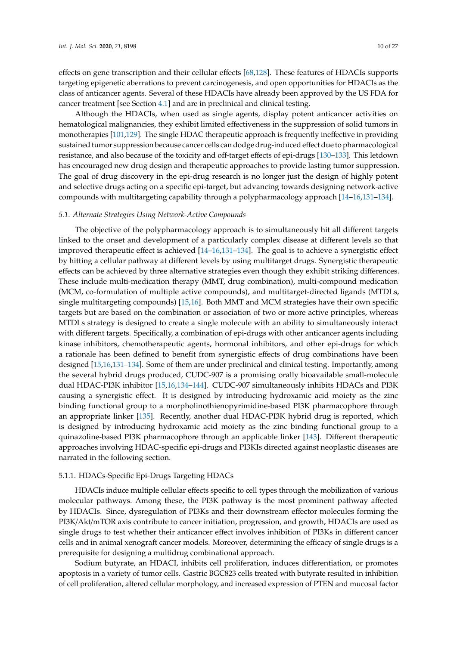effects on gene transcription and their cellular effects [\[68](#page-22-6)[,128\]](#page-25-7). These features of HDACIs supports targeting epigenetic aberrations to prevent carcinogenesis, and open opportunities for HDACIs as the class of anticancer agents. Several of these HDACIs have already been approved by the US FDA for cancer treatment [see Section [4.1\]](#page-6-0) and are in preclinical and clinical testing.

Although the HDACIs, when used as single agents, display potent anticancer activities on hematological malignancies, they exhibit limited effectiveness in the suppression of solid tumors in monotherapies [\[101](#page-23-19)[,129\]](#page-25-8). The single HDAC therapeutic approach is frequently ineffective in providing sustained tumor suppression because cancer cells can dodge drug-induced effect due to pharmacological resistance, and also because of the toxicity and off-target effects of epi-drugs [\[130](#page-25-9)[–133\]](#page-25-10). This letdown has encouraged new drug design and therapeutic approaches to provide lasting tumor suppression. The goal of drug discovery in the epi-drug research is no longer just the design of highly potent and selective drugs acting on a specific epi-target, but advancing towards designing network-active compounds with multitargeting capability through a polypharmacology approach [\[14–](#page-20-1)[16,](#page-20-2)[131](#page-25-11)[–134\]](#page-25-12).

#### *5.1. Alternate Strategies Using Network-Active Compounds*

The objective of the polypharmacology approach is to simultaneously hit all different targets linked to the onset and development of a particularly complex disease at different levels so that improved therapeutic effect is achieved [\[14](#page-20-1)[–16,](#page-20-2)[131–](#page-25-11)[134\]](#page-25-12). The goal is to achieve a synergistic effect by hitting a cellular pathway at different levels by using multitarget drugs. Synergistic therapeutic effects can be achieved by three alternative strategies even though they exhibit striking differences. These include multi-medication therapy (MMT, drug combination), multi-compound medication (MCM, co-formulation of multiple active compounds), and multitarget-directed ligands (MTDLs, single multitargeting compounds) [\[15,](#page-20-18)[16\]](#page-20-2). Both MMT and MCM strategies have their own specific targets but are based on the combination or association of two or more active principles, whereas MTDLs strategy is designed to create a single molecule with an ability to simultaneously interact with different targets. Specifically, a combination of epi-drugs with other anticancer agents including kinase inhibitors, chemotherapeutic agents, hormonal inhibitors, and other epi-drugs for which a rationale has been defined to benefit from synergistic effects of drug combinations have been designed [\[15](#page-20-18)[,16,](#page-20-2)[131–](#page-25-11)[134\]](#page-25-12). Some of them are under preclinical and clinical testing. Importantly, among the several hybrid drugs produced, CUDC-907 is a promising orally bioavailable small-molecule dual HDAC-PI3K inhibitor [\[15,](#page-20-18)[16,](#page-20-2)[134–](#page-25-12)[144\]](#page-26-0). CUDC-907 simultaneously inhibits HDACs and PI3K causing a synergistic effect. It is designed by introducing hydroxamic acid moiety as the zinc binding functional group to a morpholinothienopyrimidine-based PI3K pharmacophore through an appropriate linker [\[135\]](#page-25-13). Recently, another dual HDAC-PI3K hybrid drug is reported, which is designed by introducing hydroxamic acid moiety as the zinc binding functional group to a quinazoline-based PI3K pharmacophore through an applicable linker [\[143\]](#page-26-1). Different therapeutic approaches involving HDAC-specific epi-drugs and PI3KIs directed against neoplastic diseases are narrated in the following section.

#### 5.1.1. HDACs-Specific Epi-Drugs Targeting HDACs

HDACIs induce multiple cellular effects specific to cell types through the mobilization of various molecular pathways. Among these, the PI3K pathway is the most prominent pathway affected by HDACIs. Since, dysregulation of PI3Ks and their downstream effector molecules forming the PI3K/Akt/mTOR axis contribute to cancer initiation, progression, and growth, HDACIs are used as single drugs to test whether their anticancer effect involves inhibition of PI3Ks in different cancer cells and in animal xenograft cancer models. Moreover, determining the efficacy of single drugs is a prerequisite for designing a multidrug combinational approach.

Sodium butyrate, an HDACI, inhibits cell proliferation, induces differentiation, or promotes apoptosis in a variety of tumor cells. Gastric BGC823 cells treated with butyrate resulted in inhibition of cell proliferation, altered cellular morphology, and increased expression of PTEN and mucosal factor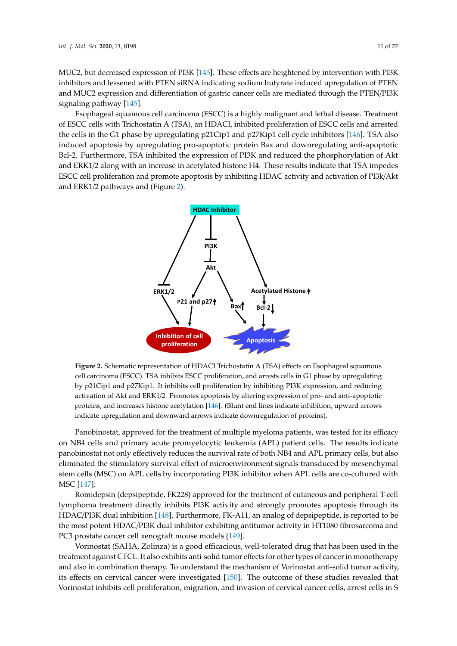MUC2, but decreased expression of PI3K [\[145\]](#page-26-2). These effects are heightened by intervention with PI3K inhibitors and lessened with PTEN siRNA indicating sodium butyrate induced upregulation of PTEN and MUC2 expression and differentiation of gastric cancer cells are mediated through the PTEN/PI3K signaling pathway [\[145\]](#page-26-2).

Esophageal squamous cell carcinoma (ESCC) is a highly malignant and lethal disease. Treatment of ESCC cells with Trichostatin A (TSA), an HDACI, inhibited proliferation of ESCC cells and arrested the cells in the G1 phase by upregulating p21Cip1 and p27Kip1 cell cycle inhibitors [\[146\]](#page-26-3). TSA also induced apoptosis by upregulating pro-apoptotic protein Bax and downregulating anti-apoptotic Bcl-2. Furthermore, TSA inhibited the expression of PI3K and reduced the phosphorylation of Akt and ERK1/2 along with an increase in acetylated histone H4. These results indicate that TSA impedes ESCC cell proliferation and promote apoptosis by inhibiting HDAC activity and activation of PI3k/Akt ESCC cell proliferation and promote apoptosis by inhibiting HDAC activity and activation of a[nd](#page-11-0) ERK1/2 pathways and (Figure 2).

<span id="page-11-0"></span>

**Figure 2.** Schematic representation of HDACI Trichostatin A (TSA) effects on Esophageal squamous **Figure 2.** Schematic representation of HDACI Trichostatin A (TSA) effects on Esophageal squamous cell carcinoma (ESCC). TSA inhibits ESCC proliferation, and arrests cells in G1 phase by upregulating cell carcinoma (ESCC). TSA inhibits ESCC proliferation, and arrests cells in G1 phase by upregulating by p21Cip1 and p27Kip1. It inhibits cell proliferation by inhibiting PI3K expression, and reducing by p21Cip1 and p27Kip1. It inhibits cell proliferation by inhibiting PI3K expression, and reducing activation of Akt and ERK1/2. Promotes apoptosis by altering expression of pro- and anti-apoptotic activation of Akt and ERK1/2. Promotes apoptosis by altering expression of pro- and anti-apoptotic proteins, and increases histone acetylation [146]. (Blunt end lines indicate inhibition, upward arrows proteins, and increases histone acetylation [\[146\]](#page-26-3). (Blunt end lines indicate inhibition, upward arrows indicate upregulation and downward arrows indicate downregulation of proteins). indicate upregulation and downward arrows indicate downregulation of proteins).

Panomional, approved for the treatment of multiple myeloma patents, was tested for its effect. on NB4 cells and primary acute promyelocytic leukemia (APL) patient cells. The results indicate panobinostat not only effectively reduces the survival rate of both NB4 and APL primary cells, but also eliminated the stimulatory survival effect of microenvironment signals transduced by mesenchymal<br>eliminated the stimulatory survival effect of microenvironment signals transduced by mesenchymal stem cells (MSC) on APL cells by incorporating PI3K inhibitor when APL cells are co-cultured with  $MSG$  [147] Panobinostat, approved for the treatment of multiple myeloma patients, was tested for its efficacy MSC [\[147\]](#page-26-4).

 $\frac{1}{2}$ .  $\frac{1}{2}$ .  $\frac{1}{2}$ .  $\frac{1}{2}$ .  $\frac{1}{2}$ .  $\frac{1}{2}$ .  $\frac{1}{2}$ .  $\frac{1}{2}$ . Romidepsin (depsipeptide, FK228) approved for the treatment of cutaneous and peripheral T-cell lymphoma treatment directly inhibits PI3K activity and strongly promotes apoptosis through its  $\text{Lip}$ HDAC/PI3K dual inhibition [148]. Furthermore, FK-A11, an analog of depsipeptide, is reported to be HDAC/PI3K dual inhibition [\[148\]](#page-26-5). Furthermore, FK-A11, an analog of depsipeptide, is reported to be the most potent HDAC/PI3K dual inhibitor exhibiting antitumor activity in HT1080 fibrosarcoma and<br>  $F^{CG}$ PC3 prostate cancer cell xenograft mouse models [\[149\]](#page-26-6).

Vorinostat (SAHA, Zolinza) is a good efficacious, well-tolerated drug that has been used in the treatment against CTCL. It also exhibits anti-solid tumor effects for other types of cancer in treatment against CTCL. It also exhibits anti-solid tumor effects for other types of cancer in monotherapy and also in combination therapy. To understand the mechanism of vormostat and some tamor activity its effects on cervical cancer were investigated [\[150\]](#page-26-7). The outcome of these studies revealed that  $\overline{a}$ Vorinostat inhibits cell proliferation, migration, and invasion of cervical cancer cells, arrest cells in S Vorinostat (SAHA, Zolinza) is a good efficacious, well-tolerated drug that has been used in the and also in combination therapy. To understand the mechanism of Vorinostat anti-solid tumor activity,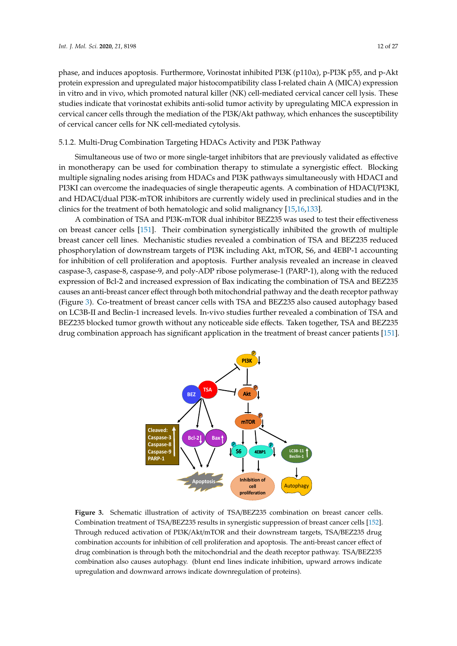phase, and induces apoptosis. Furthermore, Vorinostat inhibited PI3K ( $p110\alpha$ ), p-PI3K p55, and p-Akt protein expression and upregulated major histocompatibility class I-related chain A (MICA) expression in vitro and in vivo, which promoted natural killer (NK) cell-mediated cervical cancer cell lysis. These studies indicate that vorinostat exhibits anti-solid tumor activity by upregulating MICA expression in cervical cancer cells through the mediation of the PI3K/Akt pathway, which enhances the susceptibility of cervical cancer cells for NK cell-mediated cytolysis.

### 5.1.2. Multi-Drug Combination Targeting HDACs Activity and PI3K Pathway

Simultaneous use of two or more single-target inhibitors that are previously validated as effective in monotherapy can be used for combination therapy to stimulate a synergistic effect. Blocking multiple signaling nodes arising from HDACs and PI3K pathways simultaneously with HDACI and PI3KI can overcome the inadequacies of single therapeutic agents. A combination of HDACI/PI3KI, and HDACI/dual PI3K-mTOR inhibitors are currently widely used in preclinical studies and in the clinics for the treatment of both hematologic and solid malignancy [\[15](#page-20-18)[,16](#page-20-2)[,133\]](#page-25-10).

A combination of TSA and PI3K-mTOR dual inhibitor BEZ235 was used to test their effectiveness on breast cancer cells [\[151\]](#page-26-8). Their combination synergistically inhibited the growth of multiple on breast cancer cells [151]. Their combination synergistically inhibited the growth of multiple<br>breast cancer cell lines. Mechanistic studies revealed a combination of TSA and BEZ235 reduced phosphorylation of downstream targets of PI3K including Akt, mTOR, S6, and 4EBP-1 accounting phosphorylation of downstream targets of PI3K including Akt, mTOR, S6, and 4EBP-1 accounting<br>for inhibition of cell proliferation and apoptosis. Further analysis revealed an increase in cleaved caspase-3, caspase-8, caspase-9, and poly-ADP ribose polymerase-1 (PARP-1), along with the reduced caspase-3, caspase-8, caspase-9, and poly-ADP ribose polymerase-1 (PARP-1), along with the reduced<br>expression of Bcl-2 and increased expression of Bax indicating the combination of TSA and BEZ235 causes an anti-breast cancer effect through both mitochondrial pathway and the death receptor pathway causes an anti-breast cancer effect through both mitochondrial pathway and the death receptor pathway<br>(Figure 3). Co-treatment of breast cancer cells with TSA and BEZ235 also caused autoph[ag](#page-12-0)y based on LC3B-II and Beclin-1 increased levels. In-vivo studies further revealed a combination of TSA and on LC3B-II and Beclin-1 increased levels. In-vivo studies further revealed a combination of TSA and<br>BEZ235 blocked tumor growth without any noticeable side effects. Taken together, TSA and BEZ235 drug combination approach has significant application in the treatment of breast cancer patients [\[151\]](#page-26-8). breast cancer patients [151].

<span id="page-12-0"></span>

Combination treatment of TSA/BEZ235 results in synergistic suppression of breast cancer cells [\[152\]](#page-26-9). Through reduced activation of PI3K/Akt/mTOR and their downstream targets, TSA/BEZ235 drug combination accounts for inhibition of cell proliferation and apoptosis. The anti-breast cancer effect of drug combination is through both the mitochondrial and the death receptor pathway. TSA/BEZ235 combination also causes autophagy. (blunt end lines indicate inhibition, upward arrows indicate upregulation and downward arrows indicate downregulation of proteins). Figure 3. Schematic illustration of activity of TSA/BEZ235 combination on breast cancer cells.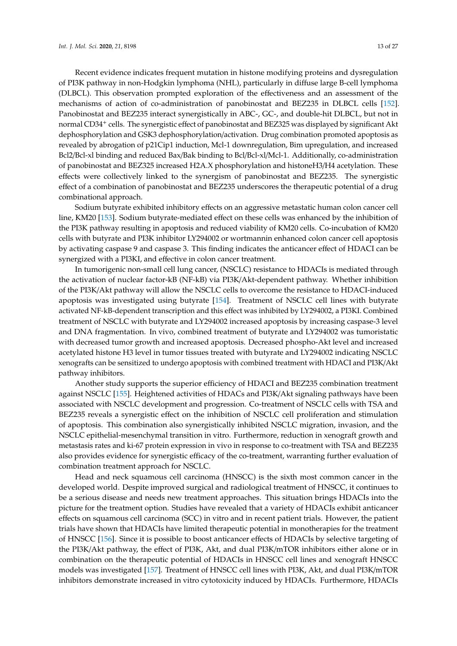Recent evidence indicates frequent mutation in histone modifying proteins and dysregulation of PI3K pathway in non-Hodgkin lymphoma (NHL), particularly in diffuse large B-cell lymphoma (DLBCL). This observation prompted exploration of the effectiveness and an assessment of the mechanisms of action of co-administration of panobinostat and BEZ235 in DLBCL cells [\[152\]](#page-26-9). Panobinostat and BEZ235 interact synergistically in ABC-, GC-, and double-hit DLBCL, but not in normal CD34<sup>+</sup> cells. The synergistic effect of panobinostat and BEZ325 was displayed by significant Akt dephosphorylation and GSK3 dephosphorylation/activation. Drug combination promoted apoptosis as revealed by abrogation of p21Cip1 induction, Mcl-1 downregulation, Bim upregulation, and increased Bcl2/Bcl-xl binding and reduced Bax/Bak binding to Bcl/Bcl-xl/Mcl-1. Additionally, co-administration of panobinostat and BEZ325 increased H2A.X phosphorylation and histoneH3/H4 acetylation. These effects were collectively linked to the synergism of panobinostat and BEZ235. The synergistic effect of a combination of panobinostat and BEZ235 underscores the therapeutic potential of a drug combinational approach.

Sodium butyrate exhibited inhibitory effects on an aggressive metastatic human colon cancer cell line, KM20 [\[153\]](#page-26-10). Sodium butyrate-mediated effect on these cells was enhanced by the inhibition of the PI3K pathway resulting in apoptosis and reduced viability of KM20 cells. Co-incubation of KM20 cells with butyrate and PI3K inhibitor LY294002 or wortmannin enhanced colon cancer cell apoptosis by activating caspase 9 and caspase 3. This finding indicates the anticancer effect of HDACI can be synergized with a PI3KI, and effective in colon cancer treatment.

In tumorigenic non-small cell lung cancer, (NSCLC) resistance to HDACIs is mediated through the activation of nuclear factor-kB (NF-kB) via PI3K/Akt-dependent pathway. Whether inhibition of the PI3K/Akt pathway will allow the NSCLC cells to overcome the resistance to HDACI-induced apoptosis was investigated using butyrate [\[154\]](#page-26-11). Treatment of NSCLC cell lines with butyrate activated NF-kB-dependent transcription and this effect was inhibited by LY294002, a PI3KI. Combined treatment of NSCLC with butyrate and LY294002 increased apoptosis by increasing caspase-3 level and DNA fragmentation. In vivo, combined treatment of butyrate and LY294002 was tumoristatic with decreased tumor growth and increased apoptosis. Decreased phospho-Akt level and increased acetylated histone H3 level in tumor tissues treated with butyrate and LY294002 indicating NSCLC xenografts can be sensitized to undergo apoptosis with combined treatment with HDACI and PI3K/Akt pathway inhibitors.

Another study supports the superior efficiency of HDACI and BEZ235 combination treatment against NSCLC [\[155\]](#page-26-12). Heightened activities of HDACs and PI3K/Akt signaling pathways have been associated with NSCLC development and progression. Co-treatment of NSCLC cells with TSA and BEZ235 reveals a synergistic effect on the inhibition of NSCLC cell proliferation and stimulation of apoptosis. This combination also synergistically inhibited NSCLC migration, invasion, and the NSCLC epithelial-mesenchymal transition in vitro. Furthermore, reduction in xenograft growth and metastasis rates and ki-67 protein expression in vivo in response to co-treatment with TSA and BEZ235 also provides evidence for synergistic efficacy of the co-treatment, warranting further evaluation of combination treatment approach for NSCLC.

Head and neck squamous cell carcinoma (HNSCC) is the sixth most common cancer in the developed world. Despite improved surgical and radiological treatment of HNSCC, it continues to be a serious disease and needs new treatment approaches. This situation brings HDACIs into the picture for the treatment option. Studies have revealed that a variety of HDACIs exhibit anticancer effects on squamous cell carcinoma (SCC) in vitro and in recent patient trials. However, the patient trials have shown that HDACIs have limited therapeutic potential in monotherapies for the treatment of HNSCC [\[156\]](#page-26-13). Since it is possible to boost anticancer effects of HDACIs by selective targeting of the PI3K/Akt pathway, the effect of PI3K, Akt, and dual PI3K/mTOR inhibitors either alone or in combination on the therapeutic potential of HDACIs in HNSCC cell lines and xenograft HNSCC models was investigated [\[157\]](#page-26-14). Treatment of HNSCC cell lines with PI3K, Akt, and dual PI3K/mTOR inhibitors demonstrate increased in vitro cytotoxicity induced by HDACIs. Furthermore, HDACIs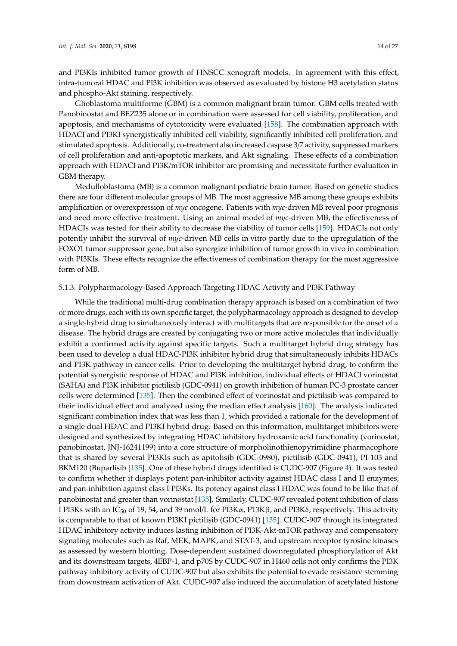and PI3KIs inhibited tumor growth of HNSCC xenograft models. In agreement with this effect, intra-tumoral HDAC and PI3K inhibition was observed as evaluated by histone H3 acetylation status and phospho-Akt staining, respectively.

Glioblastoma multiforme (GBM) is a common malignant brain tumor. GBM cells treated with Panobinostat and BEZ235 alone or in combination were assessed for cell viability, proliferation, and apoptosis, and mechanisms of cytotoxicity were evaluated [\[158\]](#page-27-0). The combination approach with HDACI and PI3KI synergistically inhibited cell viability, significantly inhibited cell proliferation, and stimulated apoptosis. Additionally, co-treatment also increased caspase 3/7 activity, suppressed markers of cell proliferation and anti-apoptotic markers, and Akt signaling. These effects of a combination approach with HDACI and PI3K/mTOR inhibitor are promising and necessitate further evaluation in GBM therapy.

Medulloblastoma (MB) is a common malignant pediatric brain tumor. Based on genetic studies there are four different molecular groups of MB. The most aggressive MB among these groups exhibits amplification or overexpression of *myc* oncogene. Patients with *myc*-driven MB reveal poor prognosis and need more effective treatment. Using an animal model of *myc*-driven MB, the effectiveness of HDACIs was tested for their ability to decrease the viability of tumor cells [\[159\]](#page-27-1). HDACIs not only potently inhibit the survival of *myc*-driven MB cells in vitro partly due to the upregulation of the FOXO1 tumor suppressor gene, but also synergize inhibition of tumor growth in vivo in combination with PI3KIs. These effects recognize the effectiveness of combination therapy for the most aggressive form of MB.

#### 5.1.3. Polypharmacology-Based Approach Targeting HDAC Activity and PI3K Pathway

While the traditional multi-drug combination therapy approach is based on a combination of two or more drugs, each with its own specific target, the polypharmacology approach is designed to develop a single-hybrid drug to simultaneously interact with multitargets that are responsible for the onset of a disease. The hybrid drugs are created by conjugating two or more active molecules that individually exhibit a confirmed activity against specific targets. Such a multitarget hybrid drug strategy has been used to develop a dual HDAC-PI3K inhibitor hybrid drug that simultaneously inhibits HDACs and PI3K pathway in cancer cells. Prior to developing the multitarget hybrid drug, to confirm the potential synergistic response of HDAC and PI3K inhibition, individual effects of HDACI vorinostat (SAHA) and PI3K inhibitor pictilisib (GDC-0941) on growth inhibition of human PC-3 prostate cancer cells were determined [\[135\]](#page-25-13). Then the combined effect of vorinostat and pictilisib was compared to their individual effect and analyzed using the median effect analysis [\[160\]](#page-27-2). The analysis indicated significant combination index that was less than 1, which provided a rationale for the development of a single dual HDAC and PI3KI hybrid drug. Based on this information, multitarget inhibitors were designed and synthesized by integrating HDAC inhibitory hydroxamic acid functionality (vorinostat, panobinostat, JNJ-16241199) into a core structure of morpholinothienopyrimidine pharmacophore that is shared by several PI3KIs such as apitolisib (GDC-0980), pictilisib (GDC-0941), PI-103 and BKM120 (Buparlisib [\[135\]](#page-25-13). One of these hybrid drugs identified is CUDC-907 (Figure [4\)](#page-15-0). It was tested to confirm whether it displays potent pan-inhibitor activity against HDAC class I and II enzymes, and pan-inhibition against class I PI3Ks. Its potency against class I HDAC was found to be like that of panobinostat and greater than vorinostat [\[135\]](#page-25-13). Similarly, CUDC-907 revealed potent inhibition of class I PI3Ks with an IC<sub>50</sub> of 19, 54, and 39 nmol/L for PI3Kα, P13Kβ, and PI3Kδ, respectively. This activity is comparable to that of known PI3KI pictilisib (GDC-0941) [\[135\]](#page-25-13). CUDC-907 through its integrated HDAC inhibitory activity induces lasting inhibition of PI3K-Akt-mTOR pathway and compensatory signaling molecules such as Raf, MEK, MAPK, and STAT-3, and upstream receptor tyrosine kinases as assessed by western blotting. Dose-dependent sustained downregulated phosphorylation of Akt and its downstream targets, 4EBP-1, and p70S by CUDC-907 in H460 cells not only confirms the PI3K pathway inhibitory activity of CUDC-907 but also exhibits the potential to evade resistance stemming from downstream activation of Akt. CUDC-907 also induced the accumulation of acetylated histone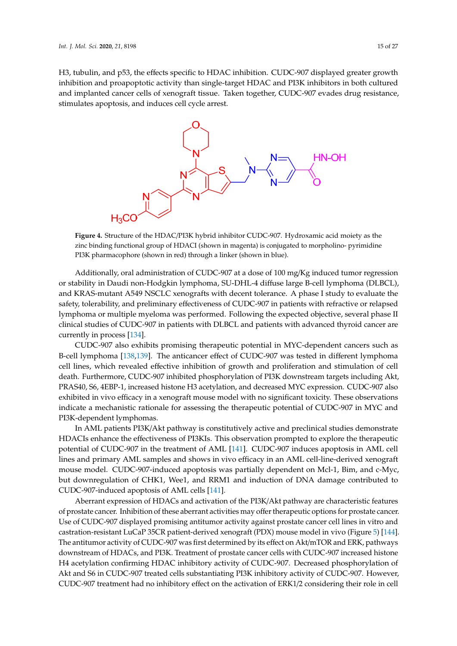<span id="page-15-0"></span>H3, tubulin, and p53, the effects specific to HDAC inhibition. CUDC-907 displayed greater growth inhibition and proapoptotic activity than single-target HDAC and PI3K inhibitors in both cultured and implanted cancer cells of xenograft tissue. Taken together, CUDC-907 evades drug resistance, stimulates apoptosis, and induces cell cycle arrest. *Int. J. Mol. Sci.* **2020**, *21*, x 15 of 27



**Figure 4.** Structure of the HDAC/PI3K hybrid inhibitor CUDC-907. Hydroxamic acid moiety as the **Figure 4.** Structure of the HDAC/PI3K hybrid inhibitor CUDC-907. Hydroxamic acid moiety as the zinc binding functional group of HDACI (shown in magenta) is conjugated to morpholino-zinc binding functional group of HDACI (shown in magenta) is conjugated to morpholino- pyrimidine PI3K pharmacophore (shown in red) through a linker (shown in blue).

Additionally, oral administration of CUDC-907 at a dose of 100 mg/Kg induced tumor regression Additionally, oral administration of CUDC-907 at a dose of 100 mg/Kg induced tumor regression or stability in Daudi non-Hodgkin lymphoma, SU-DHL-4 diffuse large B-cell lymphoma (DLBCL), or stability in Daudi non-Hodgkin lymphoma, SU-DHL-4 diffuse large B-cell lymphoma (DLBCL), and KRAS-mutant A549 NSCLC xenografts with decent tolerance. A phase I study to evaluate the and KRAS-mutant A549 NSCLC xenografts with decent tolerance. A phase I study to evaluate the safety, tolerability, and preliminary effectiveness of CUDC-907 in patients with refractive or relapsed safety, tolerability, and preliminary effectiveness of CUDC-907 in patients with refractive or relapsed lymphoma or multiple myeloma was performed. Following the expected objective, several phase II lymphoma or multiple myeloma was performed. Following the expected objective, several phase II clinical studies of CUDC-907 in patients with DLBCL and patients with advanced thyroid cancer are clinical studies of CUDC-907 in patients with DLBCL and patients with advanced thyroid cancer are currently in process [134]. currently in process [\[134\]](#page-25-12).

CUDC-907 also exhibits promising therapeutic potential in MYC-dependent cancers such as B-CUDC-907 also exhibits promising therapeutic potential in MYC-dependent cancers such as B-cell lymphoma [\[138](#page-25-14)[,139\]](#page-25-15). The anticancer effect of CUDC-907 was tested in different lymphoma cell lines, which revealed effective inhibition of growth and proliferation and stimulation of cell Furthermore, CUDC-907 inhibited phosphorylation of PI3K downstream targets including Akt, death. Furthermore, CUDC-907 inhibited phosphorylation of PI3K downstream targets including Akt, PRAS40, S6, 4EBP-1, increased histone H3 acetylation, and decreased MYC expression. CUDC-907 PRAS40, S6, 4EBP-1, increased histone H3 acetylation, and decreased MYC expression. CUDC-907 also exhibited in vivo efficacy in a xenograft mouse model with no significant toxicity. These observations indicate a mechanistic rationale for assessing the therapeutic potential of CUDC-907 in MYC and PI3K-dependent lymphomas.

In AML patients PI3K/Akt pathway is constitutively active and preclinical studies demonstrate In AML patients PI3K/Akt pathway is constitutively active and preclinical studies demonstrate HDACIs enhance the effectiveness of PI3KIs. This observation prompted to explore the therapeutic HDACIs enhance the effectiveness of PI3KIs. This observation prompted to explore the therapeutic potential of CUDC-907 in the treatment of AML [\[141\]](#page-26-15). CUDC-907 induces apoptosis in AML cell lines and primary AML samples and shows in vivo efficacy in an AML cell-line-derived xenograft mouse model. CUDC-907-induced apoptosis was partially dependent on Mcl-1, Bim, and c-Myc, but downregulation of CHK1, Wee1, and RRM1 and induction of DNA damage contributed to 907-induced apoptosis of AML cells [141]. CUDC-907-induced apoptosis of AML cells [\[141\]](#page-26-15).

Aberrant expression of HDACs and activation of the PI3K/Akt pathway are characteristic Aberrant expression of HDACs and activation of the PI3K/Akt pathway are characteristic features of prostate cancer. Inhibition of these aberrant activities may offer therapeutic options for prostate cancer. Use of CUDC-907 displayed promising antitumor activity against prostate cancer cell lines in vitro and castration-resistant LuCaP 35CR patient-derived xenograft (PDX) mous[e m](#page-16-0)odel in vivo (Figure 5) [\[144\]](#page-26-0). The antitumor activity of CUDC-907 was first determined by its effect on  $\text{Akt/mTOR}$  and ERK, pathways downstream of HDACs, and PI3K. Treatment of prostate cancer cells with CUDC-907 increased histone H4 acetylation confirming HDAC inhibitory activity of CUDC-907. Decreased phosphorylation of Akt and S6 in CUDC-907 treated cells substantiating PI3K inhibitory activity of CUDC-907. However, CUDC-907 treatment had no inhibitory effect on the activation of ERK1/2 considering their role in cell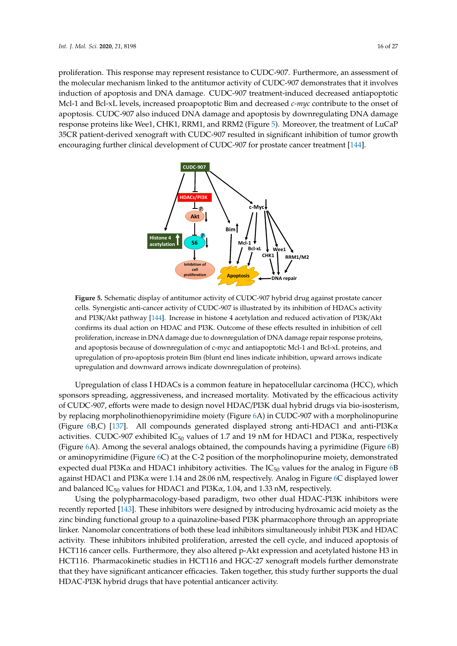proliferation. This response may represent resistance to CUDC-907. Furthermore, an assessment of the molecular mechanism linked to the antitumor activity of CUDC-907 demonstrates that it involves induction of apoptosis and DNA damage. CUDC-907 treatment-induced decreased antiapoptotic Mcl-1 and Bcl-xL levels, increased proapoptotic Bim and decreased *c-myc* contribute to the onset of apoptosis. CUDC-907 also induced DNA damage and apoptosis by downregulating DNA damage apoptosis. CUDC-907 also induced DNA damage and apoptosis by downregulating DNA damage<br>response proteins like Wee1, CHK1, RRM1, and RRM2 (Figure 5). Moreover, the treatment of LuCaP 35CR patient-derived xenograft with CUDC-907 resulted in significant inhibition of tumor growth encouraging further clinical development of CUDC-907 for prostate cancer treatment [\[144\]](#page-26-0).

<span id="page-16-0"></span>

cells. Synergistic anti-cancer activity of CUDC-907 is illustrated by its inhibition of HDACs activity cancer activity of CUDC-907 is illustrated by its inhibition of HDACs activity and PI3K/Akt pathway [\[144\]](#page-26-0). Increase in histone 4 acetylation and reduced activation of PI3K/Akt confirms its dual action on HDAC and PI3K. Outcome of these effects resulted in inhibition of cell<br> proliferation, increase in DNA damage due to downregulation of DNA damage repair response proteins, and apoptosis because of downregulation of c-myc and antiapoptotic Mcl-1 and Bcl-xL proteins, and and  $\frac{1}{100}$ upregulation of pro-apoptosis protein Bim (blunt end lines indicate inhibition, upward arrows indicate in  $\frac{1}{2}$ upregulation and downward arrows indicate downregulation of proteins). **Figure 5.** Schematic display of antitumor activity of CUDC-907 hybrid drug against prostate cancer

Upregulation of class I HDACs is a common feature in hepatocellular carcinoma (HCC), which sponsors spreading, aggressiveness, and increased mortality. Motivated by the efficacious activity of CUDC-907, efforts were made to design novel HDAC/PI3K dual hybrid drugs via bio-isosterism, by replacing morpholinothienopyrimidine moiety (Figure [6A](#page-17-0)) in CUDC-907 with a morpholinopurine (Figure [6B](#page-17-0),C) [\[137\]](#page-25-16). All compounds generated displayed strong anti-HDAC1 and anti-PI3K $\alpha$ activities. CUDC-907 exhibited IC<sub>50</sub> values of 1.7 and 19 nM for HDAC1 and PI3K $\alpha$ , respectively (Figure [6A](#page-17-0)). Among the several analogs obtained, the compounds having a pyrimidine (Figure [6B](#page-17-0)) or aminopyrimidine (Figure [6C](#page-17-0)) at the C-2 position of the morpholinopurine moiety, demonstrated expected dual PI3K $\alpha$  and HDAC1 inhibitory activities. The IC<sub>50</sub> values for the analog in Figure [6B](#page-17-0) against HDAC1 and PI3Kα were 1.14 and 28.06 nM, respectively. Analog in Figure [6C](#page-17-0) displayed lower and balanced  $IC_{50}$  values for HDAC1 and PI3K $\alpha$ , 1.04, and 1.33 nM, respectively.

Using the polypharmacology-based paradigm, two other dual HDAC-PI3K inhibitors were recently reported [\[143\]](#page-26-1). These inhibitors were designed by introducing hydroxamic acid moiety as the zinc binding functional group to a quinazoline-based PI3K pharmacophore through an appropriate linker. Nanomolar concentrations of both these lead inhibitors simultaneously inhibit PI3K and HDAC activity. These inhibitors inhibited proliferation, arrested the cell cycle, and induced apoptosis of HCT116 cancer cells. Furthermore, they also altered p-Akt expression and acetylated histone H3 in HCT116. Pharmacokinetic studies in HCT116 and HGC-27 xenograft models further demonstrate that they have significant anticancer efficacies. Taken together, this study further supports the dual HDAC-PI3K hybrid drugs that have potential anticancer activity.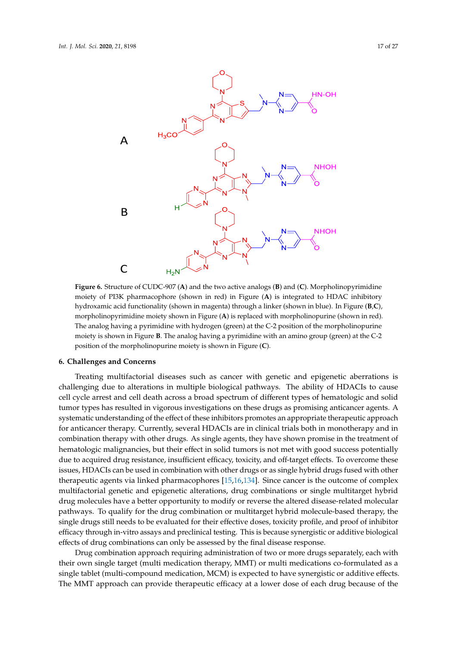<span id="page-17-0"></span>

Figure 6. Structure of CUDC-907 (A) and the two active analogs (B) and (C). Morpholinopyrimidine moiety of PI3K pharmacophore (shown in red) in Figure (**A**) is integrated to HDAC inhibitory moiety of PI3K pharmacophore (shown in red) in Figure (**A**) is integrated to HDAC inhibitory hydroxamic acid functionality (shown in magenta) through a linker (shown in blue). In Figure (**B,C**), morpholinopyrimidine moiety shown in Figure (**A**) is replaced with morpholinopurine (shown in morpholinopyrimidine moiety shown in Figure (**A**) is replaced with morpholinopurine (shown in red). The analog having a pyrimidine with hydrogen (green) at the C-2 position of the morpholinopurine moiety is shown in Figure **B**. The analog having a pyrimidine with an amino group (green) at the C-2 position of the morpholinopurine moiety is shown in Figure (**C**).

#### $\mathcal{L}$  the polypharmacology-based paradigm, two other dual HDAC-PI3K inhibitors were dual HDAC-PI3K inhibitors were dual HDAC-PI3K in  $\mathcal{L}$ **6. Challenges and Concerns**

Treating multifactorial diseases such as cancer with genetic and epigenetic aberrations is challenging due to alterations in multiple biological pathways. The ability of HDACIs to cause cell cycle arrest and cell death across a broad spectrum of different types of hematologic and solid tumor types has resulted in vigorous investigations on these drugs as promising anticancer agents. A systematic understanding of the effect of these inhibitors promotes an appropriate therapeutic approach for anticancer therapy. Currently, several HDACIs are in clinical trials both in monotherapy and in combination therapy with other drugs. As single agents, they have shown promise in the treatment of hematologic malignancies, but their effect in solid tumors is not met with good success potentially issues, HDACIs can be used in combination with other drugs or as single hybrid drugs fused with other therapeutic agents via linked pharmacophores [\[15,](#page-20-18)[16,](#page-20-2)[134\]](#page-25-12). Since cancer is the outcome of complex multifactorial genetic and epigenetic alterations, drug combinations or single multitarget hybrid<br>
... drug molecules have a better opportunity to modify or reverse the altered disease-related molecular<br>drug molecular pathways. To qualify for the drug combination or multitarget hybrid molecule-based therapy, the single drugs still needs to be evaluated for their effective doses, toxicity profile, and proof of inhibitor efficacy through in-vitro assays and preclinical testing. This is because synergistic or additive biological in  $\mathcal{L}$ effects of drug combinations can only be assessed by the final disease response. due to acquired drug resistance, insufficient efficacy, toxicity, and off-target effects. To overcome these

Drug combination approach requiring administration of two or more drugs separately, each with  $\frac{1}{2}$ their own single target (multi medication therapy, MMT) or multi medications co-formulated as a<br>their own single target (multi medication therapy, MMT) or multi medications co-formulated as a single tablet (multi-compound medication, MCM) is expected to have synergistic or additive effects. The MMT approach can provide therapeutic efficacy at a lower dose of each drug because of the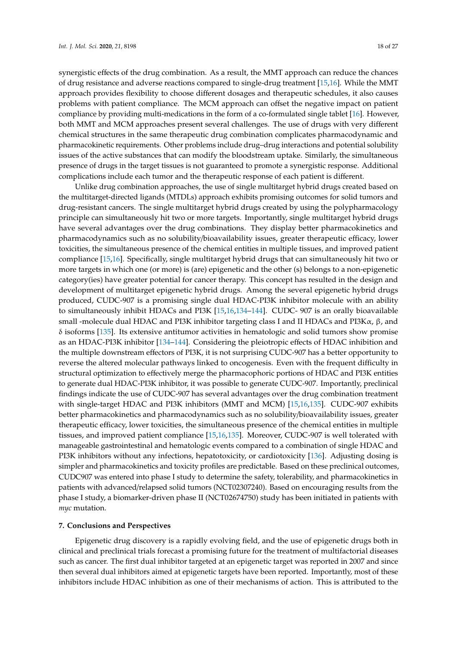synergistic effects of the drug combination. As a result, the MMT approach can reduce the chances of drug resistance and adverse reactions compared to single-drug treatment [\[15](#page-20-18)[,16\]](#page-20-2). While the MMT approach provides flexibility to choose different dosages and therapeutic schedules, it also causes problems with patient compliance. The MCM approach can offset the negative impact on patient compliance by providing multi-medications in the form of a co-formulated single tablet [\[16\]](#page-20-2). However, both MMT and MCM approaches present several challenges. The use of drugs with very different chemical structures in the same therapeutic drug combination complicates pharmacodynamic and pharmacokinetic requirements. Other problems include drug–drug interactions and potential solubility issues of the active substances that can modify the bloodstream uptake. Similarly, the simultaneous presence of drugs in the target tissues is not guaranteed to promote a synergistic response. Additional complications include each tumor and the therapeutic response of each patient is different.

Unlike drug combination approaches, the use of single multitarget hybrid drugs created based on the multitarget-directed ligands (MTDLs) approach exhibits promising outcomes for solid tumors and drug-resistant cancers. The single multitarget hybrid drugs created by using the polypharmacology principle can simultaneously hit two or more targets. Importantly, single multitarget hybrid drugs have several advantages over the drug combinations. They display better pharmacokinetics and pharmacodynamics such as no solubility/bioavailability issues, greater therapeutic efficacy, lower toxicities, the simultaneous presence of the chemical entities in multiple tissues, and improved patient compliance [\[15](#page-20-18)[,16\]](#page-20-2). Specifically, single multitarget hybrid drugs that can simultaneously hit two or more targets in which one (or more) is (are) epigenetic and the other (s) belongs to a non-epigenetic category(ies) have greater potential for cancer therapy. This concept has resulted in the design and development of multitarget epigenetic hybrid drugs. Among the several epigenetic hybrid drugs produced, CUDC-907 is a promising single dual HDAC-PI3K inhibitor molecule with an ability to simultaneously inhibit HDACs and PI3K [\[15](#page-20-18)[,16](#page-20-2)[,134](#page-25-12)[–144\]](#page-26-0). CUDC- 907 is an orally bioavailable small -molecule dual HDAC and PI3K inhibitor targeting class I and II HDACs and PI3K $\alpha$ , β, and  $\delta$  isoforms [\[135\]](#page-25-13). Its extensive antitumor activities in hematologic and solid tumors show promise as an HDAC-PI3K inhibitor [\[134](#page-25-12)[–144\]](#page-26-0). Considering the pleiotropic effects of HDAC inhibition and the multiple downstream effectors of PI3K, it is not surprising CUDC-907 has a better opportunity to reverse the altered molecular pathways linked to oncogenesis. Even with the frequent difficulty in structural optimization to effectively merge the pharmacophoric portions of HDAC and PI3K entities to generate dual HDAC-PI3K inhibitor, it was possible to generate CUDC-907. Importantly, preclinical findings indicate the use of CUDC-907 has several advantages over the drug combination treatment with single-target HDAC and PI3K inhibitors (MMT and MCM) [\[15](#page-20-18)[,16,](#page-20-2)[135\]](#page-25-13). CUDC-907 exhibits better pharmacokinetics and pharmacodynamics such as no solubility/bioavailability issues, greater therapeutic efficacy, lower toxicities, the simultaneous presence of the chemical entities in multiple tissues, and improved patient compliance [\[15,](#page-20-18)[16,](#page-20-2)[135\]](#page-25-13). Moreover, CUDC-907 is well tolerated with manageable gastrointestinal and hematologic events compared to a combination of single HDAC and PI3K inhibitors without any infections, hepatotoxicity, or cardiotoxicity [\[136\]](#page-25-17). Adjusting dosing is simpler and pharmacokinetics and toxicity profiles are predictable. Based on these preclinical outcomes, CUDC907 was entered into phase I study to determine the safety, tolerability, and pharmacokinetics in patients with advanced/relapsed solid tumors (NCT02307240). Based on encouraging results from the phase I study, a biomarker-driven phase II (NCT02674750) study has been initiated in patients with *myc* mutation.

#### **7. Conclusions and Perspectives**

Epigenetic drug discovery is a rapidly evolving field, and the use of epigenetic drugs both in clinical and preclinical trials forecast a promising future for the treatment of multifactorial diseases such as cancer. The first dual inhibitor targeted at an epigenetic target was reported in 2007 and since then several dual inhibitors aimed at epigenetic targets have been reported. Importantly, most of these inhibitors include HDAC inhibition as one of their mechanisms of action. This is attributed to the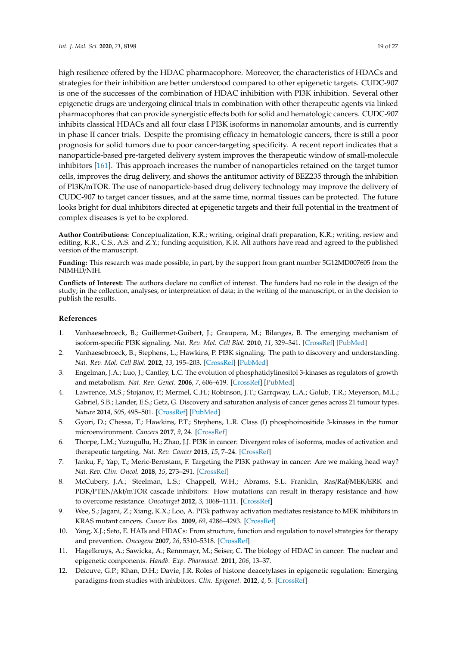high resilience offered by the HDAC pharmacophore. Moreover, the characteristics of HDACs and strategies for their inhibition are better understood compared to other epigenetic targets. CUDC-907 is one of the successes of the combination of HDAC inhibition with PI3K inhibition. Several other epigenetic drugs are undergoing clinical trials in combination with other therapeutic agents via linked pharmacophores that can provide synergistic effects both for solid and hematologic cancers. CUDC-907 inhibits classical HDACs and all four class I PI3K isoforms in nanomolar amounts, and is currently in phase II cancer trials. Despite the promising efficacy in hematologic cancers, there is still a poor prognosis for solid tumors due to poor cancer-targeting specificity. A recent report indicates that a nanoparticle-based pre-targeted delivery system improves the therapeutic window of small-molecule inhibitors [\[161\]](#page-27-3). This approach increases the number of nanoparticles retained on the target tumor cells, improves the drug delivery, and shows the antitumor activity of BEZ235 through the inhibition of PI3K/mTOR. The use of nanoparticle-based drug delivery technology may improve the delivery of CUDC-907 to target cancer tissues, and at the same time, normal tissues can be protected. The future looks bright for dual inhibitors directed at epigenetic targets and their full potential in the treatment of complex diseases is yet to be explored.

**Author Contributions:** Conceptualization, K.R.; writing, original draft preparation, K.R.; writing, review and editing, K.R., C.S., A.S. and Z.Y.; funding acquisition, K.R. All authors have read and agreed to the published version of the manuscript.

**Funding:** This research was made possible, in part, by the support from grant number 5G12MD007605 from the NIMHD/NIH.

**Conflicts of Interest:** The authors declare no conflict of interest. The funders had no role in the design of the study; in the collection, analyses, or interpretation of data; in the writing of the manuscript, or in the decision to publish the results.

#### **References**

- <span id="page-19-0"></span>1. Vanhaesebroeck, B.; Guillermet-Guibert, J.; Graupera, M.; Bilanges, B. The emerging mechanism of isoform-specific PI3K signaling. *Nat. Rev. Mol. Cell Biol.* **2010**, *11*, 329–341. [\[CrossRef\]](http://dx.doi.org/10.1038/nrm2882) [\[PubMed\]](http://www.ncbi.nlm.nih.gov/pubmed/20379207)
- <span id="page-19-1"></span>2. Vanhaesebroeck, B.; Stephens, L.; Hawkins, P. PI3K signaling: The path to discovery and understanding. *Nat. Rev. Mol. Cell Biol.* **2012**, *13*, 195–203. [\[CrossRef\]](http://dx.doi.org/10.1038/nrm3290) [\[PubMed\]](http://www.ncbi.nlm.nih.gov/pubmed/22358332)
- <span id="page-19-2"></span>3. Engelman, J.A.; Luo, J.; Cantley, L.C. The evolution of phosphatidylinositol 3-kinases as regulators of growth and metabolism. *Nat. Rev. Genet.* **2006**, *7*, 606–619. [\[CrossRef\]](http://dx.doi.org/10.1038/nrg1879) [\[PubMed\]](http://www.ncbi.nlm.nih.gov/pubmed/16847462)
- <span id="page-19-3"></span>4. Lawrence, M.S.; Stojanov, P.; Mermel, C.H.; Robinson, J.T.; Garrqway, L.A.; Golub, T.R.; Meyerson, M.L.; Gabriel, S.B.; Lander, E.S.; Getz, G. Discovery and saturation analysis of cancer genes across 21 tumour types. *Nature* **2014**, *505*, 495–501. [\[CrossRef\]](http://dx.doi.org/10.1038/nature12912) [\[PubMed\]](http://www.ncbi.nlm.nih.gov/pubmed/24390350)
- 5. Gyori, D.; Chessa, T.; Hawkins, P.T.; Stephens, L.R. Class (I) phosphoinositide 3-kinases in the tumor microenvironment. *Cancers* **2017**, *9*, 24. [\[CrossRef\]](http://dx.doi.org/10.3390/cancers9030024)
- <span id="page-19-8"></span>6. Thorpe, L.M.; Yuzugullu, H.; Zhao, J.J. PI3K in cancer: Divergent roles of isoforms, modes of activation and therapeutic targeting. *Nat. Rev. Cancer* **2015**, *15*, 7–24. [\[CrossRef\]](http://dx.doi.org/10.1038/nrc3860)
- <span id="page-19-4"></span>7. Janku, F.; Yap, T.; Meric-Bernstam, F. Targeting the PI3K pathway in cancer: Are we making head way? *Nat. Rev. Clin. Oncol.* **2018**, *15*, 273–291. [\[CrossRef\]](http://dx.doi.org/10.1038/nrclinonc.2018.28)
- <span id="page-19-5"></span>8. McCubery, J.A.; Steelman, L.S.; Chappell, W.H.; Abrams, S.L. Franklin, Ras/Raf/MEK/ERK and PI3K/PTEN/Akt/mTOR cascade inhibitors: How mutations can result in therapy resistance and how to overcome resistance. *Oncotarget* **2012**, *3*, 1068–1111. [\[CrossRef\]](http://dx.doi.org/10.18632/oncotarget.659)
- <span id="page-19-6"></span>9. Wee, S.; Jagani, Z.; Xiang, K.X.; Loo, A. PI3k pathway activation mediates resistance to MEK inhibitors in KRAS mutant cancers. *Cancer Res.* **2009**, *69*, 4286–4293. [\[CrossRef\]](http://dx.doi.org/10.1158/0008-5472.CAN-08-4765)
- <span id="page-19-7"></span>10. Yang, X.J.; Seto, E. HATs and HDACs: From structure, function and regulation to novel strategies for therapy and prevention. *Oncogene* **2007**, *26*, 5310–5318. [\[CrossRef\]](http://dx.doi.org/10.1038/sj.onc.1210599)
- <span id="page-19-9"></span>11. Hagelkruys, A.; Sawicka, A.; Rennmayr, M.; Seiser, C. The biology of HDAC in cancer: The nuclear and epigenetic components. *Handb. Exp. Pharmacol.* **2011**, *206*, 13–37.
- <span id="page-19-10"></span>12. Delcuve, G.P.; Khan, D.H.; Davie, J.R. Roles of histone deacetylases in epigenetic regulation: Emerging paradigms from studies with inhibitors. *Clin. Epigenet.* **2012**, *4*, 5. [\[CrossRef\]](http://dx.doi.org/10.1186/1868-7083-4-5)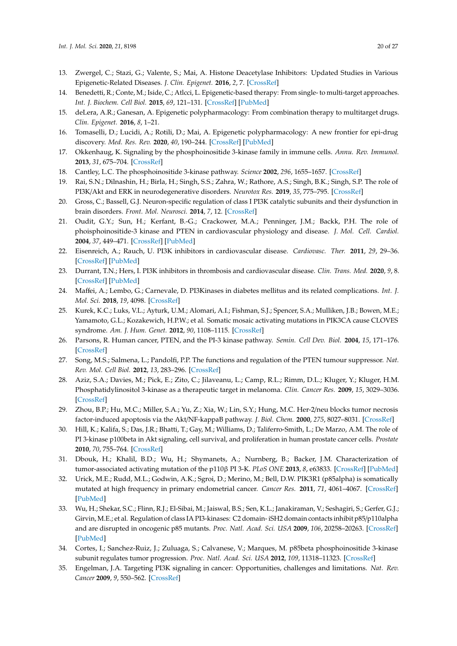- <span id="page-20-0"></span>13. Zwergel, C.; Stazi, G.; Valente, S.; Mai, A. Histone Deacetylase Inhibitors: Updated Studies in Various Epigenetic-Related Diseases. *J. Clin. Epigenet.* **2016**, *2*, 7. [\[CrossRef\]](http://dx.doi.org/10.21767/2472-1158.100015)
- <span id="page-20-1"></span>14. Benedetti, R.; Conte, M.; Iside, C.; Atlcci, L. Epigenetic-based therapy: From single- to multi-target approaches. *Int. J. Biochem. Cell Biol.* **2015**, *69*, 121–131. [\[CrossRef\]](http://dx.doi.org/10.1016/j.biocel.2015.10.016) [\[PubMed\]](http://www.ncbi.nlm.nih.gov/pubmed/26494003)
- <span id="page-20-18"></span>15. deLera, A.R.; Ganesan, A. Epigenetic polypharmacology: From combination therapy to multitarget drugs. *Clin. Epigenet.* **2016**, *8*, 1–21.
- <span id="page-20-2"></span>16. Tomaselli, D.; Lucidi, A.; Rotili, D.; Mai, A. Epigenetic polypharmacology: A new frontier for epi-drug discovery. *Med. Res. Rev.* **2020**, *40*, 190–244. [\[CrossRef\]](http://dx.doi.org/10.1002/med.21600) [\[PubMed\]](http://www.ncbi.nlm.nih.gov/pubmed/31218726)
- <span id="page-20-3"></span>17. Okkenhaug, K. Signaling by the phosphoinositide 3-kinase family in immune cells. *Annu. Rev. Immunol.* **2013**, *31*, 675–704. [\[CrossRef\]](http://dx.doi.org/10.1146/annurev-immunol-032712-095946)
- <span id="page-20-4"></span>18. Cantley, L.C. The phosphoinositide 3-kinase pathway. *Science* **2002**, *296*, 1655–1657. [\[CrossRef\]](http://dx.doi.org/10.1126/science.296.5573.1655)
- <span id="page-20-5"></span>19. Rai, S.N.; Dilnashin, H.; Birla, H.; Singh, S.S.; Zahra, W.; Rathore, A.S.; Singh, B.K.; Singh, S.P. The role of PI3K/Akt and ERK in neurodegenerative disorders. *Neurotox Res.* **2019**, *35*, 775–795. [\[CrossRef\]](http://dx.doi.org/10.1007/s12640-019-0003-y)
- <span id="page-20-6"></span>20. Gross, C.; Bassell, G.J. Neuron-specific regulation of class I PI3K catalytic subunits and their dysfunction in brain disorders. *Front. Mol. Neurosci.* **2014**, *7*, 12. [\[CrossRef\]](http://dx.doi.org/10.3389/fnmol.2014.00012)
- <span id="page-20-7"></span>21. Oudit, G.Y.; Sun, H.; Kerfant, B.-G.; Crackower, M.A.; Penninger, J.M.; Backk, P.H. The role of phoisphoinositide-3 kinase and PTEN in cardiovascular physiology and disease. *J. Mol. Cell. Cardiol.* **2004**, *37*, 449–471. [\[CrossRef\]](http://dx.doi.org/10.1016/j.yjmcc.2004.05.015) [\[PubMed\]](http://www.ncbi.nlm.nih.gov/pubmed/15276015)
- 22. Eisenreich, A.; Rauch, U. PI3K inhibitors in cardiovascular disease. *Cardiovasc. Ther.* **2011**, *29*, 29–36. [\[CrossRef\]](http://dx.doi.org/10.1111/j.1755-5922.2010.00206.x) [\[PubMed\]](http://www.ncbi.nlm.nih.gov/pubmed/20626398)
- <span id="page-20-8"></span>23. Durrant, T.N.; Hers, I. PI3K inhibitors in thrombosis and cardiovascular disease. *Clin. Trans. Med.* **2020**, *9*, 8. [\[CrossRef\]](http://dx.doi.org/10.1186/s40169-020-0261-6) [\[PubMed\]](http://www.ncbi.nlm.nih.gov/pubmed/32002690)
- <span id="page-20-9"></span>24. Maffei, A.; Lembo, G.; Carnevale, D. PI3Kinases in diabetes mellitus and its related complications. *Int. J. Mol. Sci.* **2018**, *19*, 4098. [\[CrossRef\]](http://dx.doi.org/10.3390/ijms19124098)
- <span id="page-20-10"></span>25. Kurek, K.C.; Luks, V.L.; Ayturk, U.M.; Alomari, A.I.; Fishman, S.J.; Spencer, S.A.; Mulliken, J.B.; Bowen, M.E.; Yamamoto, G.L.; Kozakewich, H.P.W.; et al. Somatic mosaic activating mutations in PIK3CA cause CLOVES syndrome. *Am. J. Hum. Genet.* **2012**, *90*, 1108–1115. [\[CrossRef\]](http://dx.doi.org/10.1016/j.ajhg.2012.05.006)
- <span id="page-20-11"></span>26. Parsons, R. Human cancer, PTEN, and the PI-3 kinase pathway. *Semin. Cell Dev. Biol.* **2004**, *15*, 171–176. [\[CrossRef\]](http://dx.doi.org/10.1016/j.semcdb.2003.12.021)
- 27. Song, M.S.; Salmena, L.; Pandolfi, P.P. The functions and regulation of the PTEN tumour suppressor. *Nat. Rev. Mol. Cell Biol.* **2012**, *13*, 283–296. [\[CrossRef\]](http://dx.doi.org/10.1038/nrm3330)
- 28. Aziz, S.A.; Davies, M.; Pick, E.; Zito, C.; Jilaveanu, L.; Camp, R.L.; Rimm, D.L.; Kluger, Y.; Kluger, H.M. Phosphatidylinositol 3-kinase as a therapeutic target in melanoma. *Clin. Cancer Res.* **2009**, *15*, 3029–3036. [\[CrossRef\]](http://dx.doi.org/10.1158/1078-0432.CCR-08-2768)
- <span id="page-20-12"></span>29. Zhou, B.P.; Hu, M.C.; Miller, S.A.; Yu, Z.; Xia, W.; Lin, S.Y.; Hung, M.C. Her-2/neu blocks tumor necrosis factor-induced apoptosis via the Akt/NF-kappaB pathway. *J. Biol. Chem.* **2000**, *275*, 8027–8031. [\[CrossRef\]](http://dx.doi.org/10.1074/jbc.275.11.8027)
- <span id="page-20-13"></span>30. Hill, K.; Kalifa, S.; Das, J.R.; Bhatti, T.; Gay, M.; Williams, D.; Taliferro-Smith, L.; De Marzo, A.M. The role of PI 3-kinase p100beta in Akt signaling, cell survival, and proliferation in human prostate cancer cells. *Prostate* **2010**, *70*, 755–764. [\[CrossRef\]](http://dx.doi.org/10.1002/pros.21108)
- <span id="page-20-14"></span>31. Dbouk, H.; Khalil, B.D.; Wu, H.; Shymanets, A.; Nurnberg, B.; Backer, J.M. Characterization of tumor-associated activating mutation of the p110β PI 3-K. *PLoS ONE* **2013**, *8*, e63833. [\[CrossRef\]](http://dx.doi.org/10.1371/journal.pone.0063833) [\[PubMed\]](http://www.ncbi.nlm.nih.gov/pubmed/23734178)
- <span id="page-20-15"></span>32. Urick, M.E.; Rudd, M.L.; Godwin, A.K.; Sgroi, D.; Merino, M.; Bell, D.W. PIK3R1 (p85alpha) is somatically mutated at high frequency in primary endometrial cancer. *Cancer Res.* **2011**, *71*, 4061–4067. [\[CrossRef\]](http://dx.doi.org/10.1158/0008-5472.CAN-11-0549) [\[PubMed\]](http://www.ncbi.nlm.nih.gov/pubmed/21478295)
- 33. Wu, H.; Shekar, S.C.; Flinn, R.J.; El-Sibai, M.; Jaiswal, B.S.; Sen, K.L.; Janakiraman, V.; Seshagiri, S.; Gerfer, G.J.; Girvin, M.E.; et al. Regulation of class IA PI3-kinases: C2 domain- iSH2 domain contacts inhibit p85/p110alpha and are disrupted in oncogenic p85 mutants. *Proc. Natl. Acad. Sci. USA* **2009**, *106*, 20258–20263. [\[CrossRef\]](http://dx.doi.org/10.1073/pnas.0902369106) [\[PubMed\]](http://www.ncbi.nlm.nih.gov/pubmed/19915146)
- <span id="page-20-16"></span>34. Cortes, I.; Sanchez-Ruiz, J.; Zuluaga, S.; Calvanese, V.; Marques, M. p85beta phosphoinositide 3-kinase subunit regulates tumor progression. *Proc. Natl. Acad. Sci. USA* **2012**, *109*, 11318–11323. [\[CrossRef\]](http://dx.doi.org/10.1073/pnas.1118138109)
- <span id="page-20-17"></span>35. Engelman, J.A. Targeting PI3K signaling in cancer: Opportunities, challenges and limitations. *Nat. Rev. Cancer* **2009**, *9*, 550–562. [\[CrossRef\]](http://dx.doi.org/10.1038/nrc2664)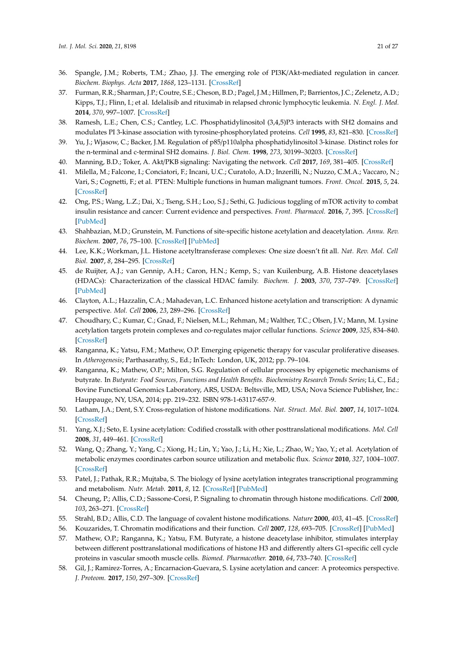- 36. Spangle, J.M.; Roberts, T.M.; Zhao, J.J. The emerging role of PI3K/Akt-mediated regulation in cancer. *Biochem. Biophys. Acta* **2017**, *1868*, 123–1131. [\[CrossRef\]](http://dx.doi.org/10.1016/j.bbcan.2017.03.002)
- <span id="page-21-0"></span>37. Furman, R.R.; Sharman, J.P.; Coutre, S.E.; Cheson, B.D.; Pagel, J.M.; Hillmen, P.; Barrientos, J.C.; Zelenetz, A.D.; Kipps, T.J.; Flinn, I.; et al. Idelalisib and rituximab in relapsed chronic lymphocytic leukemia. *N. Engl. J. Med.* **2014**, *370*, 997–1007. [\[CrossRef\]](http://dx.doi.org/10.1056/NEJMoa1315226)
- <span id="page-21-1"></span>38. Ramesh, L.E.; Chen, C.S.; Cantley, L.C. Phosphatidylinositol (3,4,5)P3 interacts with SH2 domains and modulates PI 3-kinase association with tyrosine-phosphorylated proteins. *Cell* **1995**, *83*, 821–830. [\[CrossRef\]](http://dx.doi.org/10.1016/0092-8674(95)90195-7)
- <span id="page-21-2"></span>39. Yu, J.; Wjasow, C.; Backer, J.M. Regulation of p85/p110alpha phosphatidylinositol 3-kinase. Distinct roles for the n-terminal and c-terminal SH2 domains. *J. Biol. Chem.* **1998**, *273*, 30199–30203. [\[CrossRef\]](http://dx.doi.org/10.1074/jbc.273.46.30199)
- <span id="page-21-3"></span>40. Manning, B.D.; Toker, A. Akt/PKB signaling: Navigating the network. *Cell* **2017**, *169*, 381–405. [\[CrossRef\]](http://dx.doi.org/10.1016/j.cell.2017.04.001)
- <span id="page-21-4"></span>41. Milella, M.; Falcone, I.; Conciatori, F.; Incani, U.C.; Curatolo, A.D.; Inzerilli, N.; Nuzzo, C.M.A.; Vaccaro, N.; Vari, S.; Cognetti, F.; et al. PTEN: Multiple functions in human malignant tumors. *Front. Oncol.* **2015**, *5*, 24. [\[CrossRef\]](http://dx.doi.org/10.3389/fonc.2015.00024)
- <span id="page-21-5"></span>42. Ong, P.S.; Wang, L.Z.; Dai, X.; Tseng, S.H.; Loo, S.J.; Sethi, G. Judicious toggling of mTOR activity to combat insulin resistance and cancer: Current evidence and perspectives. *Front. Pharmacol.* **2016**, *7*, 395. [\[CrossRef\]](http://dx.doi.org/10.3389/fphar.2016.00395) [\[PubMed\]](http://www.ncbi.nlm.nih.gov/pubmed/27826244)
- <span id="page-21-6"></span>43. Shahbazian, M.D.; Grunstein, M. Functions of site-specific histone acetylation and deacetylation. *Annu. Rev. Biochem.* **2007**, *76*, 75–100. [\[CrossRef\]](http://dx.doi.org/10.1146/annurev.biochem.76.052705.162114) [\[PubMed\]](http://www.ncbi.nlm.nih.gov/pubmed/17362198)
- <span id="page-21-7"></span>44. Lee, K.K.; Workman, J.L. Histone acetyltransferase complexes: One size doesn't fit all. *Nat. Rev. Mol. Cell Biol.* **2007**, *8*, 284–295. [\[CrossRef\]](http://dx.doi.org/10.1038/nrm2145)
- <span id="page-21-8"></span>45. de Ruijter, A.J.; van Gennip, A.H.; Caron, H.N.; Kemp, S.; van Kuilenburg, A.B. Histone deacetylases (HDACs): Characterization of the classical HDAC family. *Biochem. J.* **2003**, *370*, 737–749. [\[CrossRef\]](http://dx.doi.org/10.1042/bj20021321) [\[PubMed\]](http://www.ncbi.nlm.nih.gov/pubmed/12429021)
- 46. Clayton, A.L.; Hazzalin, C.A.; Mahadevan, L.C. Enhanced histone acetylation and transcription: A dynamic perspective. *Mol. Cell* **2006**, *23*, 289–296. [\[CrossRef\]](http://dx.doi.org/10.1016/j.molcel.2006.06.017)
- <span id="page-21-13"></span>47. Choudhary, C.; Kumar, C.; Gnad, F.; Nielsen, M.L.; Rehman, M.; Walther, T.C.; Olsen, J.V.; Mann, M. Lysine acetylation targets protein complexes and co-regulates major cellular functions. *Science* **2009**, *325*, 834–840. [\[CrossRef\]](http://dx.doi.org/10.1126/science.1175371)
- <span id="page-21-16"></span>48. Ranganna, K.; Yatsu, F.M.; Mathew, O.P. Emerging epigenetic therapy for vascular proliferative diseases. In *Atherogenesis*; Parthasarathy, S., Ed.; InTech: London, UK, 2012; pp. 79–104.
- <span id="page-21-9"></span>49. Ranganna, K.; Mathew, O.P.; Milton, S.G. Regulation of cellular processes by epigenetic mechanisms of butyrate. In *Butyrate: Food Sources, Functions and Health Benefits. Biochemistry Research Trends Series*; Li, C., Ed.; Bovine Functional Genomics Laboratory, ARS, USDA: Beltsville, MD, USA; Nova Science Publisher, Inc.: Hauppauge, NY, USA, 2014; pp. 219–232. ISBN 978-1-63117-657-9.
- <span id="page-21-10"></span>50. Latham, J.A.; Dent, S.Y. Cross-regulation of histone modifications. *Nat. Struct. Mol. Biol.* **2007**, *14*, 1017–1024. [\[CrossRef\]](http://dx.doi.org/10.1038/nsmb1307)
- <span id="page-21-12"></span>51. Yang, X.J.; Seto, E. Lysine acetylation: Codified crosstalk with other posttranslational modifications. *Mol. Cell* **2008**, *31*, 449–461. [\[CrossRef\]](http://dx.doi.org/10.1016/j.molcel.2008.07.002)
- <span id="page-21-15"></span>52. Wang, Q.; Zhang, Y.; Yang, C.; Xiong, H.; Lin, Y.; Yao, J.; Li, H.; Xie, L.; Zhao, W.; Yao, Y.; et al. Acetylation of metabolic enzymes coordinates carbon source utilization and metabolic flux. *Science* **2010**, *327*, 1004–1007. [\[CrossRef\]](http://dx.doi.org/10.1126/science.1179687)
- 53. Patel, J.; Pathak, R.R.; Mujtaba, S. The biology of lysine acetylation integrates transcriptional programming and metabolism. *Nutr. Metab.* **2011**, *8*, 12. [\[CrossRef\]](http://dx.doi.org/10.1186/1743-7075-8-12) [\[PubMed\]](http://www.ncbi.nlm.nih.gov/pubmed/21371315)
- 54. Cheung, P.; Allis, C.D.; Sassone-Corsi, P. Signaling to chromatin through histone modifications. *Cell* **2000**, *103*, 263–271. [\[CrossRef\]](http://dx.doi.org/10.1016/S0092-8674(00)00118-5)
- 55. Strahl, B.D.; Allis, C.D. The language of covalent histone modifications. *Nature* **2000**, *403*, 41–45. [\[CrossRef\]](http://dx.doi.org/10.1038/47412)
- 56. Kouzarides, T. Chromatin modifications and their function. *Cell* **2007**, *128*, 693–705. [\[CrossRef\]](http://dx.doi.org/10.1016/j.cell.2007.02.005) [\[PubMed\]](http://www.ncbi.nlm.nih.gov/pubmed/17320507)
- <span id="page-21-11"></span>57. Mathew, O.P.; Ranganna, K.; Yatsu, F.M. Butyrate, a histone deacetylase inhibitor, stimulates interplay between different posttranslational modifications of histone H3 and differently alters G1-specific cell cycle proteins in vascular smooth muscle cells. *Biomed. Pharmacother.* **2010**, *64*, 733–740. [\[CrossRef\]](http://dx.doi.org/10.1016/j.biopha.2010.09.017)
- <span id="page-21-14"></span>58. Gil, J.; Ramirez-Torres, A.; Encarnacion-Guevara, S. Lysine acetylation and cancer: A proteomics perspective. *J. Proteom.* **2017**, *150*, 297–309. [\[CrossRef\]](http://dx.doi.org/10.1016/j.jprot.2016.10.003)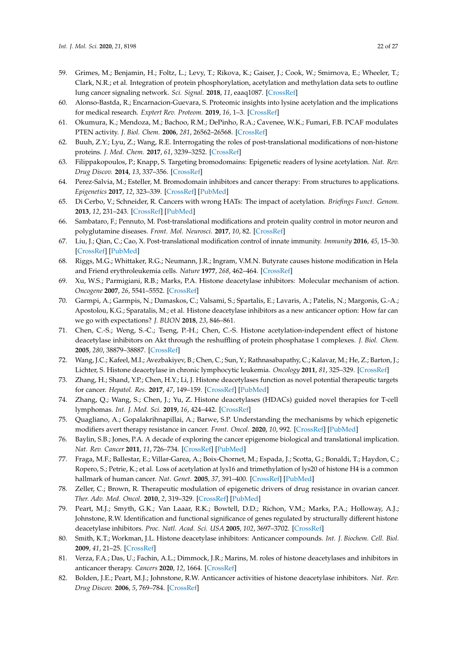- <span id="page-22-0"></span>59. Grimes, M.; Benjamin, H.; Foltz, L.; Levy, T.; Rikova, K.; Gaiser, J.; Cook, W.; Smirnova, E.; Wheeler, T.; Clark, N.R.; et al. Integration of protein phosphorylation, acetylation and methylation data sets to outline lung cancer signaling network. *Sci. Signal.* **2018**, *11*, eaaq1087. [\[CrossRef\]](http://dx.doi.org/10.1126/scisignal.aaq1087)
- <span id="page-22-1"></span>60. Alonso-Bastda, R.; Encarnacion-Guevara, S. Proteomic insights into lysine acetylation and the implications for medical research. *Exptert Rev. Proteom.* **2019**, *16*, 1–3. [\[CrossRef\]](http://dx.doi.org/10.1080/14789450.2019.1557050)
- <span id="page-22-2"></span>61. Okumura, K.; Mendoza, M.; Bachoo, R.M.; DePinho, R.A.; Cavenee, W.K.; Fumari, F.B. PCAF modulates PTEN activity. *J. Biol. Chem.* **2006**, *281*, 26562–26568. [\[CrossRef\]](http://dx.doi.org/10.1074/jbc.M605391200)
- <span id="page-22-3"></span>62. Buuh, Z.Y.; Lyu, Z.; Wang, R.E. Interrogating the roles of post-translational modifications of non-histone proteins. *J. Med. Chem.* **2017**, *61*, 3239–3252. [\[CrossRef\]](http://dx.doi.org/10.1021/acs.jmedchem.6b01817)
- 63. Filippakopoulos, P.; Knapp, S. Targeting bromodomains: Epigenetic readers of lysine acetylation. *Nat. Rev. Drug Discov.* **2014**, *13*, 337–356. [\[CrossRef\]](http://dx.doi.org/10.1038/nrd4286)
- <span id="page-22-4"></span>64. Perez-Salvia, M.; Esteller, M. Bromodomain inhibitors and cancer therapy: From structures to applications. *Epigenetics* **2017**, *12*, 323–339. [\[CrossRef\]](http://dx.doi.org/10.1080/15592294.2016.1265710) [\[PubMed\]](http://www.ncbi.nlm.nih.gov/pubmed/27911230)
- 65. Di Cerbo, V.; Schneider, R. Cancers with wrong HATs: The impact of acetylation. *Briefings Funct. Genom.* **2013**, *12*, 231–243. [\[CrossRef\]](http://dx.doi.org/10.1093/bfgp/els065) [\[PubMed\]](http://www.ncbi.nlm.nih.gov/pubmed/23325510)
- 66. Sambataro, F.; Pennuto, M. Post-translational modifications and protein quality control in motor neuron and polyglutamine diseases. *Front. Mol. Neurosci.* **2017**, *10*, 82. [\[CrossRef\]](http://dx.doi.org/10.3389/fnmol.2017.00082)
- <span id="page-22-5"></span>67. Liu, J.; Qian, C.; Cao, X. Post-translational modification control of innate immunity. *Immunity* **2016**, *45*, 15–30. [\[CrossRef\]](http://dx.doi.org/10.1016/j.immuni.2016.06.020) [\[PubMed\]](http://www.ncbi.nlm.nih.gov/pubmed/27438764)
- <span id="page-22-6"></span>68. Riggs, M.G.; Whittaker, R.G.; Neumann, J.R.; Ingram, V.M.N. Butyrate causes histone modification in Hela and Friend erythroleukemia cells. *Nature* **1977**, *268*, 462–464. [\[CrossRef\]](http://dx.doi.org/10.1038/268462a0)
- <span id="page-22-7"></span>69. Xu, W.S.; Parmigiani, R.B.; Marks, P.A. Histone deacetylase inhibitors: Molecular mechanism of action. *Oncogene* **2007**, *26*, 5541–5552. [\[CrossRef\]](http://dx.doi.org/10.1038/sj.onc.1210620)
- <span id="page-22-18"></span>70. Garmpi, A.; Garmpis, N.; Damaskos, C.; Valsami, S.; Spartalis, E.; Lavaris, A.; Patelis, N.; Margonis, G.-A.; Apostolou, K.G.; Sparatalis, M.; et al. Histone deacetylase inhibitors as a new anticancer option: How far can we go with expectations? *J. BUON* **2018**, *23*, 846–861.
- <span id="page-22-8"></span>71. Chen, C.-S.; Weng, S.-C.; Tseng, P.-H.; Chen, C.-S. Histone acetylation-independent effect of histone deacetylase inhibitors on Akt through the reshuffling of protein phosphatase 1 complexes. *J. Biol. Chem.* **2005**, *280*, 38879–38887. [\[CrossRef\]](http://dx.doi.org/10.1074/jbc.M505733200)
- <span id="page-22-9"></span>72. Wang, J.C.; Kafeel, M.I.; Avezbakiyev, B.; Chen, C.; Sun, Y.; Rathnasabapathy, C.; Kalavar, M.; He, Z.; Barton, J.; Lichter, S. Histone deacetylase in chronic lymphocytic leukemia. *Oncology* **2011**, *81*, 325–329. [\[CrossRef\]](http://dx.doi.org/10.1159/000334577)
- 73. Zhang, H.; Shand, Y.P.; Chen, H.Y.; Li, J. Histone deacetylases function as novel potential therapeutic targets for cancer. *Hepatol. Res.* **2017**, *47*, 149–159. [\[CrossRef\]](http://dx.doi.org/10.1111/hepr.12757) [\[PubMed\]](http://www.ncbi.nlm.nih.gov/pubmed/27457249)
- <span id="page-22-10"></span>74. Zhang, Q.; Wang, S.; Chen, J.; Yu, Z. Histone deacetylases (HDACs) guided novel therapies for T-cell lymphomas. *Int. J. Med. Sci.* **2019**, *16*, 424–442. [\[CrossRef\]](http://dx.doi.org/10.7150/ijms.30154)
- <span id="page-22-11"></span>75. Quagliano, A.; Gopalakrihnapillai, A.; Barwe, S.P. Understanding the mechanisms by which epigenetic modifiers avert therapy resistance in cancer. *Front. Oncol.* **2020**, *10*, 992. [\[CrossRef\]](http://dx.doi.org/10.3389/fonc.2020.00992) [\[PubMed\]](http://www.ncbi.nlm.nih.gov/pubmed/32670880)
- 76. Baylin, S.B.; Jones, P.A. A decade of exploring the cancer epigenome biological and translational implication. *Nat. Rev. Cancer* **2011**, *11*, 726–734. [\[CrossRef\]](http://dx.doi.org/10.1038/nrc3130) [\[PubMed\]](http://www.ncbi.nlm.nih.gov/pubmed/21941284)
- <span id="page-22-12"></span>77. Fraga, M.F.; Ballestar, E.; Villar-Garea, A.; Boix-Chornet, M.; Espada, J.; Scotta, G.; Bonaldi, T.; Haydon, C.; Ropero, S.; Petrie, K.; et al. Loss of acetylation at lys16 and trimethylation of lys20 of histone H4 is a common hallmark of human cancer. *Nat. Genet.* **2005**, *37*, 391–400. [\[CrossRef\]](http://dx.doi.org/10.1038/ng1531) [\[PubMed\]](http://www.ncbi.nlm.nih.gov/pubmed/15765097)
- <span id="page-22-13"></span>78. Zeller, C.; Brown, R. Therapeutic modulation of epigenetic drivers of drug resistance in ovarian cancer. *Ther. Adv. Med. Oncol.* **2010**, *2*, 319–329. [\[CrossRef\]](http://dx.doi.org/10.1177/1758834010375759) [\[PubMed\]](http://www.ncbi.nlm.nih.gov/pubmed/21789144)
- <span id="page-22-14"></span>79. Peart, M.J.; Smyth, G.K.; Van Laaar, R.K.; Bowtell, D.D.; Richon, V.M.; Marks, P.A.; Holloway, A.J.; Johnstone, R.W. Identification and functional significance of genes regulated by structurally different histone deacetylase inhibitors. *Proc. Natl. Acad. Sci. USA* **2005**, *102*, 3697–3702. [\[CrossRef\]](http://dx.doi.org/10.1073/pnas.0500369102)
- <span id="page-22-15"></span>80. Smith, K.T.; Workman, J.L. Histone deacetylase inhibitors: Anticancer compounds. *Int. J. Biochem. Cell. Biol.* **2009**, *41*, 21–25. [\[CrossRef\]](http://dx.doi.org/10.1016/j.biocel.2008.09.008)
- <span id="page-22-16"></span>81. Verza, F.A.; Das, U.; Fachin, A.L.; Dimmock, J.R.; Marins, M. roles of histone deacetylases and inhibitors in anticancer therapy. *Cancers* **2020**, *12*, 1664. [\[CrossRef\]](http://dx.doi.org/10.3390/cancers12061664)
- <span id="page-22-17"></span>82. Bolden, J.E.; Peart, M.J.; Johnstone, R.W. Anticancer activities of histone deacetylase inhibitors. *Nat. Rev. Drug Discov.* **2006**, *5*, 769–784. [\[CrossRef\]](http://dx.doi.org/10.1038/nrd2133)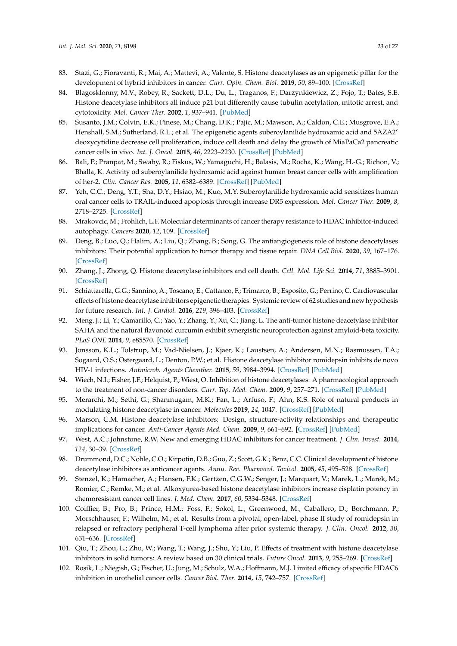- <span id="page-23-0"></span>83. Stazi, G.; Fioravanti, R.; Mai, A.; Mattevi, A.; Valente, S. Histone deacetylases as an epigenetic pillar for the development of hybrid inhibitors in cancer. *Curr. Opin. Chem. Biol.* **2019**, *50*, 89–100. [\[CrossRef\]](http://dx.doi.org/10.1016/j.cbpa.2019.03.002)
- <span id="page-23-1"></span>84. Blagosklonny, M.V.; Robey, R.; Sackett, D.L.; Du, L.; Traganos, F.; Darzynkiewicz, Z.; Fojo, T.; Bates, S.E. Histone deacetylase inhibitors all induce p21 but differently cause tubulin acetylation, mitotic arrest, and cytotoxicity. *Mol. Cancer Ther.* **2002**, *1*, 937–941. [\[PubMed\]](http://www.ncbi.nlm.nih.gov/pubmed/12481415)
- <span id="page-23-2"></span>85. Susanto, J.M.; Colvin, E.K.; Pinese, M.; Chang, D.K.; Pajic, M.; Mawson, A.; Caldon, C.E.; Musgrove, E.A.; Henshall, S.M.; Sutherland, R.L.; et al. The epigenetic agents suberoylanilide hydroxamic acid and 5AZA2' deoxycytidine decrease cell proliferation, induce cell death and delay the growth of MiaPaCa2 pancreatic cancer cells in vivo. *Int. J. Oncol.* **2015**, *46*, 2223–2230. [\[CrossRef\]](http://dx.doi.org/10.3892/ijo.2015.2894) [\[PubMed\]](http://www.ncbi.nlm.nih.gov/pubmed/25695794)
- <span id="page-23-3"></span>86. Bali, P.; Pranpat, M.; Swaby, R.; Fiskus, W.; Yamaguchi, H.; Balasis, M.; Rocha, K.; Wang, H.-G.; Richon, V.; Bhalla, K. Activity od suberoylanilide hydroxamic acid against human breast cancer cells with amplification of her-2. *Clin. Cancer Res.* **2005**, *11*, 6382–6389. [\[CrossRef\]](http://dx.doi.org/10.1158/1078-0432.CCR-05-0344) [\[PubMed\]](http://www.ncbi.nlm.nih.gov/pubmed/16144943)
- <span id="page-23-4"></span>87. Yeh, C.C.; Deng, Y.T.; Sha, D.Y.; Hsiao, M.; Kuo, M.Y. Suberoylanilide hydroxamic acid sensitizes human oral cancer cells to TRAIL-induced apoptosis through increase DR5 expression. *Mol. Cancer Ther.* **2009**, *8*, 2718–2725. [\[CrossRef\]](http://dx.doi.org/10.1158/1535-7163.MCT-09-0211)
- <span id="page-23-5"></span>88. Mrakovcic, M.; Frohlich, L.F. Molecular determinants of cancer therapy resistance to HDAC inhibitor-induced autophagy. *Cancers* **2020**, *12*, 109. [\[CrossRef\]](http://dx.doi.org/10.3390/cancers12010109)
- <span id="page-23-6"></span>89. Deng, B.; Luo, Q.; Halim, A.; Liu, Q.; Zhang, B.; Song, G. The antiangiogenesis role of histone deacetylases inhibitors: Their potential application to tumor therapy and tissue repair. *DNA Cell Biol.* **2020**, *39*, 167–176. [\[CrossRef\]](http://dx.doi.org/10.1089/dna.2019.4877)
- <span id="page-23-7"></span>90. Zhang, J.; Zhong, Q. Histone deacetylase inhibitors and cell death. *Cell. Mol. Life Sci.* **2014**, *71*, 3885–3901. [\[CrossRef\]](http://dx.doi.org/10.1007/s00018-014-1656-6)
- <span id="page-23-8"></span>91. Schiattarella, G.G.; Sannino, A.; Toscano, E.; Cattanco, F.; Trimarco, B.; Esposito, G.; Perrino, C. Cardiovascular effects of histone deacetylase inhibitors epigenetic therapies: Systemic review of 62 studies and new hypothesis for future research. *Int. J. Cardiol.* **2016**, *219*, 396–403. [\[CrossRef\]](http://dx.doi.org/10.1016/j.ijcard.2016.06.012)
- <span id="page-23-9"></span>92. Meng, J.; Li, Y.; Camarillo, C.; Yao, Y.; Zhang, Y.; Xu, C.; Jiang, L. The anti-tumor histone deacetylase inhibitor SAHA and the natural flavonoid curcumin exhibit synergistic neuroprotection against amyloid-beta toxicity. *PLoS ONE* **2014**, *9*, e85570. [\[CrossRef\]](http://dx.doi.org/10.1371/journal.pone.0085570)
- <span id="page-23-10"></span>93. Jonsson, K.L.; Tolstrup, M.; Vad-Nielsen, J.; Kjaer, K.; Laustsen, A.; Andersen, M.N.; Rasmussen, T.A.; Sogaard, O.S.; Ostergaard, L.; Denton, P.W.; et al. Histone deacetylase inhibitor romidepsin inhibits de novo HIV-1 infections. *Antmicrob. Agents Chemther.* **2015**, *59*, 3984–3994. [\[CrossRef\]](http://dx.doi.org/10.1128/AAC.00574-15) [\[PubMed\]](http://www.ncbi.nlm.nih.gov/pubmed/25896701)
- <span id="page-23-11"></span>94. Wiech, N.I.; Fisher, J.F.; Helquist, P.; Wiest, O. Inhibition of histone deacetylases: A pharmacological approach to the treatment of non-cancer disorders. *Curr. Top. Med. Chem.* **2009**, *9*, 257–271. [\[CrossRef\]](http://dx.doi.org/10.2174/156802609788085241) [\[PubMed\]](http://www.ncbi.nlm.nih.gov/pubmed/19355990)
- <span id="page-23-12"></span>95. Merarchi, M.; Sethi, G.; Shanmugam, M.K.; Fan, L.; Arfuso, F.; Ahn, K.S. Role of natural products in modulating histone deacetylase in cancer. *Molecules* **2019**, *24*, 1047. [\[CrossRef\]](http://dx.doi.org/10.3390/molecules24061047) [\[PubMed\]](http://www.ncbi.nlm.nih.gov/pubmed/30884859)
- <span id="page-23-13"></span>96. Marson, C.M. Histone deacetylase inhibitors: Design, structure-activity relationships and therapeutic implications for cancer. *Anti-Cancer Agents Med. Chem.* **2009**, *9*, 661–692. [\[CrossRef\]](http://dx.doi.org/10.2174/187152009788679976) [\[PubMed\]](http://www.ncbi.nlm.nih.gov/pubmed/19601748)
- <span id="page-23-14"></span>97. West, A.C.; Johnstone, R.W. New and emerging HDAC inhibitors for cancer treatment. *J. Clin. Invest.* **2014**, *124*, 30–39. [\[CrossRef\]](http://dx.doi.org/10.1172/JCI69738)
- <span id="page-23-15"></span>98. Drummond, D.C.; Noble, C.O.; Kirpotin, D.B.; Guo, Z.; Scott, G.K.; Benz, C.C. Clinical development of histone deacetylase inhibitors as anticancer agents. *Annu. Rev. Pharmacol. Toxicol.* **2005**, *45*, 495–528. [\[CrossRef\]](http://dx.doi.org/10.1146/annurev.pharmtox.45.120403.095825)
- <span id="page-23-16"></span>99. Stenzel, K.; Hamacher, A.; Hansen, F.K.; Gertzen, C.G.W.; Senger, J.; Marquart, V.; Marek, L.; Marek, M.; Romier, C.; Remke, M.; et al. Alkoxyurea-based histone deacetylase inhibitors increase cisplatin potency in chemoresistant cancer cell lines. *J. Med. Chem.* **2017**, *60*, 5334–5348. [\[CrossRef\]](http://dx.doi.org/10.1021/acs.jmedchem.6b01538)
- <span id="page-23-17"></span>100. Coiffier, B.; Pro, B.; Prince, H.M.; Foss, F.; Sokol, L.; Greenwood, M.; Caballero, D.; Borchmann, P.; Morschhauser, F.; Wilhelm, M.; et al. Results from a pivotal, open-label, phase II study of romidepsin in relapsed or refractory peripheral T-cell lymphoma after prior systemic therapy. *J. Clin. Oncol.* **2012**, *30*, 631–636. [\[CrossRef\]](http://dx.doi.org/10.1200/JCO.2011.37.4223)
- <span id="page-23-19"></span>101. Qiu, T.; Zhou, L.; Zhu, W.; Wang, T.; Wang, J.; Shu, Y.; Liu, P. Effects of treatment with histone deacetylase inhibitors in solid tumors: A review based on 30 clinical trials. *Future Oncol.* **2013**, *9*, 255–269. [\[CrossRef\]](http://dx.doi.org/10.2217/fon.12.173)
- <span id="page-23-18"></span>102. Rosik, L.; Niegish, G.; Fischer, U.; Jung, M.; Schulz, W.A.; Hoffmann, M.J. Limited efficacy of specific HDAC6 inhibition in urothelial cancer cells. *Cancer Biol. Ther.* **2014**, *15*, 742–757. [\[CrossRef\]](http://dx.doi.org/10.4161/cbt.28469)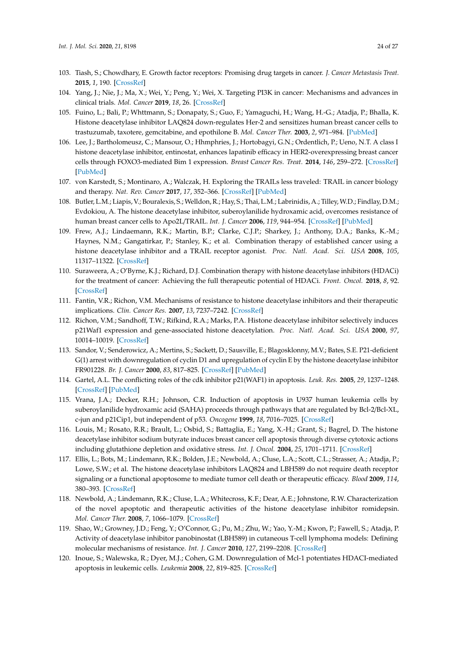- <span id="page-24-0"></span>103. Tiash, S.; Chowdhary, E. Growth factor receptors: Promising drug targets in cancer. *J. Cancer Metastasis Treat.* **2015**, *1*, 190. [\[CrossRef\]](http://dx.doi.org/10.4103/2394-4722.163151)
- <span id="page-24-1"></span>104. Yang, J.; Nie, J.; Ma, X.; Wei, Y.; Peng, Y.; Wei, X. Targeting PI3K in cancer: Mechanisms and advances in clinical trials. *Mol. Cancer* **2019**, *18*, 26. [\[CrossRef\]](http://dx.doi.org/10.1186/s12943-019-0954-x)
- <span id="page-24-2"></span>105. Fuino, L.; Bali, P.; Whttmann, S.; Donapaty, S.; Guo, F.; Yamaguchi, H.; Wang, H.-G.; Atadja, P.; Bhalla, K. Histone deacetylase inhibitor LAQ824 down-regulates Her-2 and sensitizes human breast cancer cells to trastuzumab, taxotere, gemcitabine, and epothilone B. *Mol. Cancer Ther.* **2003**, *2*, 971–984. [\[PubMed\]](http://www.ncbi.nlm.nih.gov/pubmed/14578462)
- <span id="page-24-3"></span>106. Lee, J.; Bartholomeusz, C.; Mansour, O.; Hhmphries, J.; Hortobagyi, G.N.; Ordentlich, P.; Ueno, N.T. A class I histone deacetylase inhibitor, entinostat, enhances lapatinib efficacy in HER2-overexpressing breast cancer cells through FOXO3-mediated Bim 1 expression. *Breast Cancer Res. Treat.* **2014**, *146*, 259–272. [\[CrossRef\]](http://dx.doi.org/10.1007/s10549-014-3014-7) [\[PubMed\]](http://www.ncbi.nlm.nih.gov/pubmed/24916181)
- <span id="page-24-4"></span>107. von Karstedt, S.; Montinaro, A.; Walczak, H. Exploring the TRAILs less traveled: TRAIL in cancer biology and therapy. *Nat. Rev. Cancer* **2017**, *17*, 352–366. [\[CrossRef\]](http://dx.doi.org/10.1038/nrc.2017.28) [\[PubMed\]](http://www.ncbi.nlm.nih.gov/pubmed/28536452)
- <span id="page-24-5"></span>108. Butler, L.M.; Liapis, V.; Bouralexis, S.; Welldon, R.; Hay, S.; Thai, L.M.; Labrinidis, A.; Tilley,W.D.; Findlay, D.M.; Evdokiou, A. The histone deacetylase inhibitor, suberoylanilide hydroxamic acid, overcomes resistance of human breast cancer cells to Apo2L/TRAIL. *Int. J. Cancer* **2006**, *119*, 944–954. [\[CrossRef\]](http://dx.doi.org/10.1002/ijc.21939) [\[PubMed\]](http://www.ncbi.nlm.nih.gov/pubmed/16550602)
- <span id="page-24-6"></span>109. Frew, A.J.; Lindaemann, R.K.; Martin, B.P.; Clarke, C.J.P.; Sharkey, J.; Anthony, D.A.; Banks, K.-M.; Haynes, N.M.; Gangatirkar, P.; Stanley, K.; et al. Combination therapy of established cancer using a histone deacetylase inhibitor and a TRAIL receptor agonist. *Proc. Natl. Acad. Sci. USA* **2008**, *105*, 11317–11322. [\[CrossRef\]](http://dx.doi.org/10.1073/pnas.0801868105)
- <span id="page-24-7"></span>110. Suraweera, A.; O'Byrne, K.J.; Richard, D.J. Combination therapy with histone deacetylase inhibitors (HDACi) for the treatment of cancer: Achieving the full therapeutic potential of HDACi. *Front. Oncol.* **2018**, *8*, 92. [\[CrossRef\]](http://dx.doi.org/10.3389/fonc.2018.00092)
- <span id="page-24-8"></span>111. Fantin, V.R.; Richon, V.M. Mechanisms of resistance to histone deacetylase inhibitors and their therapeutic implications. *Clin. Cancer Res.* **2007**, *13*, 7237–7242. [\[CrossRef\]](http://dx.doi.org/10.1158/1078-0432.CCR-07-2114)
- <span id="page-24-9"></span>112. Richon, V.M.; Sandhoff, T.W.; Rifkind, R.A.; Marks, P.A. Histone deacetylase inhibitor selectively induces p21Waf1 expression and gene-associated histone deacetylation. *Proc. Natl. Acad. Sci. USA* **2000**, *97*, 10014–10019. [\[CrossRef\]](http://dx.doi.org/10.1073/pnas.180316197)
- <span id="page-24-10"></span>113. Sandor, V.; Senderowicz, A.; Mertins, S.; Sackett, D.; Sausville, E.; Blagosklonny, M.V.; Bates, S.E. P21-deficient G(1) arrest with downregulation of cyclin D1 and upregulation of cyclin E by the histone deacetylase inhibitor FR901228. *Br. J. Cancer* **2000**, *83*, 817–825. [\[CrossRef\]](http://dx.doi.org/10.1054/bjoc.2000.1327) [\[PubMed\]](http://www.ncbi.nlm.nih.gov/pubmed/10952788)
- <span id="page-24-11"></span>114. Gartel, A.L. The conflicting roles of the cdk inhibitor p21(WAF1) in apoptosis. *Leuk. Res.* **2005**, *29*, 1237–1248. [\[CrossRef\]](http://dx.doi.org/10.1016/j.leukres.2005.04.023) [\[PubMed\]](http://www.ncbi.nlm.nih.gov/pubmed/15946739)
- <span id="page-24-12"></span>115. Vrana, J.A.; Decker, R.H.; Johnson, C.R. Induction of apoptosis in U937 human leukemia cells by suberoylanilide hydroxamic acid (SAHA) proceeds through pathways that are regulated by Bcl-2/Bcl-XL, c-jun and p21Cip1, but independent of p53. *Oncogene* **1999**, *18*, 7016–7025. [\[CrossRef\]](http://dx.doi.org/10.1038/sj.onc.1203176)
- <span id="page-24-13"></span>116. Louis, M.; Rosato, R.R.; Brault, L.; Osbid, S.; Battaglia, E.; Yang, X.-H.; Grant, S.; Bagrel, D. The histone deacetylase inhibitor sodium butyrate induces breast cancer cell apoptosis through diverse cytotoxic actions including glutathione depletion and oxidative stress. *Int. J. Oncol.* **2004**, *25*, 1701–1711. [\[CrossRef\]](http://dx.doi.org/10.3892/ijo.25.6.1701)
- <span id="page-24-14"></span>117. Ellis, L.; Bots, M.; Lindemann, R.K.; Bolden, J.E.; Newbold, A.; Cluse, L.A.; Scott, C.L.; Strasser, A.; Atadja, P.; Lowe, S.W.; et al. The histone deacetylase inhibitors LAQ824 and LBH589 do not require death receptor signaling or a functional apoptosome to mediate tumor cell death or therapeutic efficacy. *Blood* **2009**, *114*, 380–393. [\[CrossRef\]](http://dx.doi.org/10.1182/blood-2008-10-182758)
- <span id="page-24-15"></span>118. Newbold, A.; Lindemann, R.K.; Cluse, L.A.; Whitecross, K.F.; Dear, A.E.; Johnstone, R.W. Characterization of the novel apoptotic and therapeutic activities of the histone deacetylase inhibitor romidepsin. *Mol. Cancer Ther.* **2008**, *7*, 1066–1079. [\[CrossRef\]](http://dx.doi.org/10.1158/1535-7163.MCT-07-2256)
- <span id="page-24-16"></span>119. Shao, W.; Growney, J.D.; Feng, Y.; O'Connor, G.; Pu, M.; Zhu, W.; Yao, Y.-M.; Kwon, P.; Fawell, S.; Atadja, P. Activity of deacetylase inhibitor panobinostat (LBH589) in cutaneous T-cell lymphoma models: Defining molecular mechanisms of resistance. *Int. J. Cancer* **2010**, *127*, 2199–2208. [\[CrossRef\]](http://dx.doi.org/10.1002/ijc.25218)
- <span id="page-24-17"></span>120. Inoue, S.; Walewska, R.; Dyer, M.J.; Cohen, G.M. Downregulation of Mcl-1 potentiates HDACI-mediated apoptosis in leukemic cells. *Leukemia* **2008**, *22*, 819–825. [\[CrossRef\]](http://dx.doi.org/10.1038/leu.2008.1)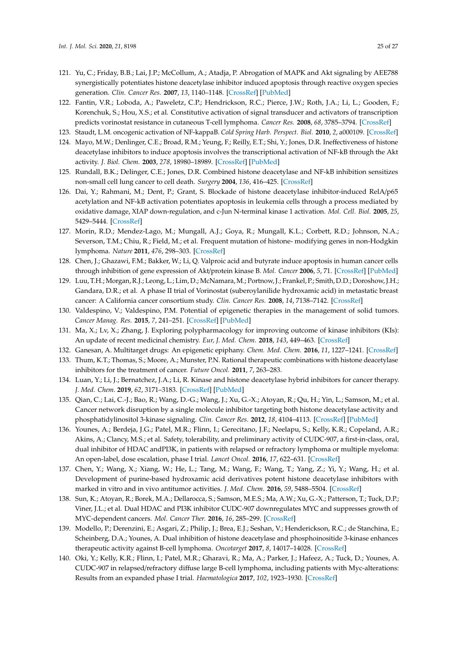- <span id="page-25-0"></span>121. Yu, C.; Friday, B.B.; Lai, J.P.; McCollum, A.; Atadja, P. Abrogation of MAPK and Akt signaling by AEE788 synergistically potentiates histone deacetylase inhibitor induced apoptosis through reactive oxygen species generation. *Clin. Cancer Res.* **2007**, *13*, 1140–1148. [\[CrossRef\]](http://dx.doi.org/10.1158/1078-0432.CCR-06-1751) [\[PubMed\]](http://www.ncbi.nlm.nih.gov/pubmed/17317822)
- <span id="page-25-1"></span>122. Fantin, V.R.; Loboda, A.; Paweletz, C.P.; Hendrickson, R.C.; Pierce, J.W.; Roth, J.A.; Li, L.; Gooden, F.; Korenchuk, S.; Hou, X.S.; et al. Constitutive activation of signal transducer and activators of transcription predicts vorinostat resistance in cutaneous T-cell lymphoma. *Cancer Res.* **2008**, *68*, 3785–3794. [\[CrossRef\]](http://dx.doi.org/10.1158/0008-5472.CAN-07-6091)
- <span id="page-25-3"></span><span id="page-25-2"></span>123. Staudt, L.M. oncogenic activation of NF-kappaB. *Cold Spring Harb. Perspect. Biol.* **2010**, *2*, a000109. [\[CrossRef\]](http://dx.doi.org/10.1101/cshperspect.a000109)
- 124. Mayo, M.W.; Denlinger, C.E.; Broad, R.M.; Yeung, F.; Reilly, E.T.; Shi, Y.; Jones, D.R. Ineffectiveness of histone deacetylase inhibitors to induce apoptosis involves the transcriptional activation of NF-kB through the Akt activity. *J. Biol. Chem.* **2003**, *278*, 18980–18989. [\[CrossRef\]](http://dx.doi.org/10.1074/jbc.M211695200) [\[PubMed\]](http://www.ncbi.nlm.nih.gov/pubmed/12649266)
- <span id="page-25-4"></span>125. Rundall, B.K.; Delinger, C.E.; Jones, D.R. Combined histone deacetylase and NF-kB inhibition sensitizes non-small cell lung cancer to cell death. *Surgery* **2004**, *136*, 416–425. [\[CrossRef\]](http://dx.doi.org/10.1016/j.surg.2004.05.018)
- <span id="page-25-5"></span>126. Dai, Y.; Rahmani, M.; Dent, P.; Grant, S. Blockade of histone deacetylase inhibitor-induced RelA/p65 acetylation and NF-kB activation potentiates apoptosis in leukemia cells through a process mediated by oxidative damage, XIAP down-regulation, and c-Jun N-terminal kinase 1 activation. *Mol. Cell. Biol.* **2005**, *25*, 5429–5444. [\[CrossRef\]](http://dx.doi.org/10.1128/MCB.25.13.5429-5444.2005)
- <span id="page-25-6"></span>127. Morin, R.D.; Mendez-Lago, M.; Mungall, A.J.; Goya, R.; Mungall, K.L.; Corbett, R.D.; Johnson, N.A.; Severson, T.M.; Chiu, R.; Field, M.; et al. Frequent mutation of histone- modifying genes in non-Hodgkin lymphoma. *Nature* **2011**, *476*, 298–303. [\[CrossRef\]](http://dx.doi.org/10.1038/nature10351)
- <span id="page-25-7"></span>128. Chen, J.; Ghazawi, F.M.; Bakker, W.; Li, Q. Valproic acid and butyrate induce apoptosis in human cancer cells through inhibition of gene expression of Akt/protein kinase B. *Mol. Cancer* **2006**, *5*, 71. [\[CrossRef\]](http://dx.doi.org/10.1186/1476-4598-5-71) [\[PubMed\]](http://www.ncbi.nlm.nih.gov/pubmed/17156483)
- <span id="page-25-8"></span>129. Luu, T.H.; Morgan, R.J.; Leong, L.; Lim, D.; McNamara,M.; Portnow, J.; Frankel, P.; Smith, D.D.; Doroshow, J.H.; Gandara, D.R.; et al. A phase II trial of Vorinostat (suberoylanilide hydroxamic acid) in metastatic breast cancer: A California cancer consortium study. *Clin. Cancer Res.* **2008**, *14*, 7138–7142. [\[CrossRef\]](http://dx.doi.org/10.1158/1078-0432.CCR-08-0122)
- <span id="page-25-9"></span>130. Valdespino, V.; Valdespino, P.M. Potential of epigenetic therapies in the management of solid tumors. *Cancer Manag. Res.* **2015**, *7*, 241–251. [\[CrossRef\]](http://dx.doi.org/10.2147/CMAR.S70358) [\[PubMed\]](http://www.ncbi.nlm.nih.gov/pubmed/26346546)
- <span id="page-25-11"></span>131. Ma, X.; Lv, X.; Zhang, J. Exploring polypharmacology for improving outcome of kinase inhibitors (KIs): An update of recent medicinal chemistry. *Eur, J. Med. Chem.* **2018**, *143*, 449–463. [\[CrossRef\]](http://dx.doi.org/10.1016/j.ejmech.2017.11.049)
- <span id="page-25-10"></span>132. Ganesan, A. Multitarget drugs: An epigenetic epiphany. *Chem. Med. Chem.* **2016**, *11*, 1227–1241. [\[CrossRef\]](http://dx.doi.org/10.1002/cmdc.201500394)
- 133. Thum, K.T.; Thomas, S.; Moore, A.; Munster, P.N. Rational therapeutic combinations with histone deacetylase inhibitors for the treatment of cancer. *Future Oncol.* **2011**, *7*, 263–283.
- <span id="page-25-12"></span>134. Luan, Y.; Li, J.; Bernatchez, J.A.; Li, R. Kinase and histone deacetylase hybrid inhibitors for cancer therapy. *J. Med. Chem.* **2019**, *62*, 3171–3183. [\[CrossRef\]](http://dx.doi.org/10.1021/acs.jmedchem.8b00189) [\[PubMed\]](http://www.ncbi.nlm.nih.gov/pubmed/30418766)
- <span id="page-25-13"></span>135. Qian, C.; Lai, C.-J.; Bao, R.; Wang, D.-G.; Wang, J.; Xu, G.-X.; Atoyan, R.; Qu, H.; Yin, L.; Samson, M.; et al. Cancer network disruption by a single molecule inhibitor targeting both histone deacetylase activity and phosphatidylinositol 3-kinase signaling. *Clin. Cancer Res.* **2012**, *18*, 4104–4113. [\[CrossRef\]](http://dx.doi.org/10.1158/1078-0432.CCR-12-0055) [\[PubMed\]](http://www.ncbi.nlm.nih.gov/pubmed/22693356)
- <span id="page-25-17"></span>136. Younes, A.; Berdeja, J.G.; Patel, M.R.; Flinn, I.; Gerecitano, J.F.; Neelapu, S.; Kelly, K.R.; Copeland, A.R.; Akins, A.; Clancy, M.S.; et al. Safety, tolerability, and preliminary activity of CUDC-907, a first-in-class, oral, dual inhibitor of HDAC andPI3K, in patients with relapsed or refractory lymphoma or multiple myeloma: An open-label, dose escalation, phase I trial. *Lancet Oncol.* **2016**, *17*, 622–631. [\[CrossRef\]](http://dx.doi.org/10.1016/S1470-2045(15)00584-7)
- <span id="page-25-16"></span>137. Chen, Y.; Wang, X.; Xiang, W.; He, L.; Tang, M.; Wang, F.; Wang, T.; Yang, Z.; Yi, Y.; Wang, H.; et al. Development of purine-based hydroxamic acid derivatives potent histone deacetylase inhibitors with marked in vitro and in vivo antitumor activities. *J. Med. Chem.* **2016**, *59*, 5488–5504. [\[CrossRef\]](http://dx.doi.org/10.1021/acs.jmedchem.6b00579)
- <span id="page-25-14"></span>138. Sun, K.; Atoyan, R.; Borek, M.A.; Dellarocca, S.; Samson, M.E.S.; Ma, A.W.; Xu, G.-X.; Patterson, T.; Tuck, D.P.; Viner, J.L.; et al. Dual HDAC and PI3K inhibitor CUDC-907 downregulates MYC and suppresses growth of MYC-dependent cancers. *Mol. Cancer Ther.* **2016**, *16*, 285–299. [\[CrossRef\]](http://dx.doi.org/10.1158/1535-7163.MCT-16-0390)
- <span id="page-25-15"></span>139. Modello, P.; Derenzini, E.; Asgari, Z.; Philip, J.; Brea, E.J.; Seshan, V.; Henderickson, R.C.; de Stanchina, E.; Scheinberg, D.A.; Younes, A. Dual inhibition of histone deacetylase and phosphoinositide 3-kinase enhances therapeutic activity against B-cell lymphoma. *Oncotarget* **2017**, *8*, 14017–14028. [\[CrossRef\]](http://dx.doi.org/10.18632/oncotarget.14876)
- 140. Oki, Y.; Kelly, K.R.; Flinn, I.; Patel, M.R.; Gharavi, R.; Ma, A.; Parker, J.; Hafeez, A.; Tuck, D.; Younes, A. CUDC-907 in relapsed/refractory diffuse large B-cell lymphoma, including patients with Myc-alterations: Results from an expanded phase I trial. *Haematologica* **2017**, *102*, 1923–1930. [\[CrossRef\]](http://dx.doi.org/10.3324/haematol.2017.172882)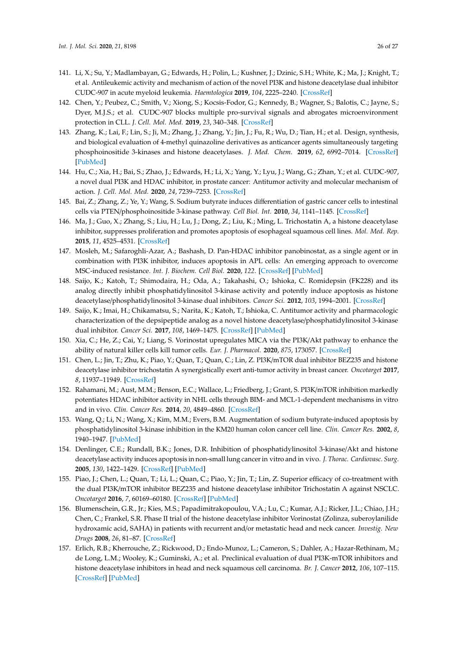- <span id="page-26-15"></span>141. Li, X.; Su, Y.; Madlambayan, G.; Edwards, H.; Polin, L.; Kushner, J.; Dzinic, S.H.; White, K.; Ma, J.; Knight, T.; et al. Antileukemic activity and mechanism of action of the novel PI3K and histone deacetylase dual inhibitor CUDC-907 in acute myeloid leukemia. *Haemtologica* **2019**, *104*, 2225–2240. [\[CrossRef\]](http://dx.doi.org/10.3324/haematol.2018.201343)
- 142. Chen, Y.; Peubez, C.; Smith, V.; Xiong, S.; Kocsis-Fodor, G.; Kennedy, B.; Wagner, S.; Balotis, C.; Jayne, S.; Dyer, M.J.S.; et al. CUDC-907 blocks multiple pro-survival signals and abrogates microenvironment protection in CLL. *J. Cell. Mol. Med.* **2019**, *23*, 340–348. [\[CrossRef\]](http://dx.doi.org/10.1111/jcmm.13935)
- <span id="page-26-1"></span>143. Zhang, K.; Lai, F.; Lin, S.; Ji, M.; Zhang, J.; Zhang, Y.; Jin, J.; Fu, R.; Wu, D.; Tian, H.; et al. Design, synthesis, and biological evaluation of 4-methyl quinazoline derivatives as anticancer agents simultaneously targeting phosphoinositide 3-kinases and histone deacetylases. *J. Med. Chem.* **2019**, *62*, 6992–7014. [\[CrossRef\]](http://dx.doi.org/10.1021/acs.jmedchem.9b00390) [\[PubMed\]](http://www.ncbi.nlm.nih.gov/pubmed/31117517)
- <span id="page-26-0"></span>144. Hu, C.; Xia, H.; Bai, S.; Zhao, J.; Edwards, H.; Li, X.; Yang, Y.; Lyu, J.; Wang, G.; Zhan, Y.; et al. CUDC-907, a novel dual PI3K and HDAC inhibitor, in prostate cancer: Antitumor activity and molecular mechanism of action. *J. Cell. Mol. Med.* **2020**, *24*, 7239–7253. [\[CrossRef\]](http://dx.doi.org/10.1111/jcmm.15281)
- <span id="page-26-2"></span>145. Bai, Z.; Zhang, Z.; Ye, Y.; Wang, S. Sodium butyrate induces differentiation of gastric cancer cells to intestinal cells via PTEN/phosphoinositide 3-kinase pathway. *Cell Biol. Int.* **2010**, *34*, 1141–1145. [\[CrossRef\]](http://dx.doi.org/10.1042/CBI20090481)
- <span id="page-26-3"></span>146. Ma, J.; Guo, X.; Zhang, S.; Liu, H.; Lu, J.; Dong, Z.; Liu, K.; Ming, L. Trichostatin A, a histone deacetylase inhibitor, suppresses proliferation and promotes apoptosis of esophageal squamous cell lines. *Mol. Med. Rep.* **2015**, *11*, 4525–4531. [\[CrossRef\]](http://dx.doi.org/10.3892/mmr.2015.3268)
- <span id="page-26-4"></span>147. Mosleh, M.; Safaroghli-Azar, A.; Bashash, D. Pan-HDAC inhibitor panobinostat, as a single agent or in combination with PI3K inhibitor, induces apoptosis in APL cells: An emerging approach to overcome MSC-induced resistance. *Int. J. Biochem. Cell Biol.* **2020**, *122*. [\[CrossRef\]](http://dx.doi.org/10.1016/j.biocel.2020.105734) [\[PubMed\]](http://www.ncbi.nlm.nih.gov/pubmed/32119989)
- <span id="page-26-5"></span>148. Saijo, K.; Katoh, T.; Shimodaira, H.; Oda, A.; Takahashi, O.; Ishioka, C. Romidepsin (FK228) and its analog directly inhibit phosphatidylinositol 3-kinase activity and potently induce apoptosis as histone deacetylase/phosphatidylinositol 3-kinase dual inhibitors. *Cancer Sci.* **2012**, *103*, 1994–2001. [\[CrossRef\]](http://dx.doi.org/10.1111/cas.12002)
- <span id="page-26-6"></span>149. Saijo, K.; Imai, H.; Chikamatsu, S.; Narita, K.; Katoh, T.; Ishioka, C. Antitumor activity and pharmacologic characterization of the depsipeptide analog as a novel histone deacetylase/phosphatidylinositol 3-kinase dual inhibitor. *Cancer Sci.* **2017**, *108*, 1469–1475. [\[CrossRef\]](http://dx.doi.org/10.1111/cas.13255) [\[PubMed\]](http://www.ncbi.nlm.nih.gov/pubmed/28406576)
- <span id="page-26-7"></span>150. Xia, C.; He, Z.; Cai, Y.; Liang, S. Vorinostat upregulates MICA via the PI3K/Akt pathway to enhance the ability of natural killer cells kill tumor cells. *Eur. J. Pharmacol.* **2020**, *875*, 173057. [\[CrossRef\]](http://dx.doi.org/10.1016/j.ejphar.2020.173057)
- <span id="page-26-8"></span>151. Chen, L.; Jin, T.; Zhu, K.; Piao, Y.; Quan, T.; Quan, C.; Lin, Z. PI3K/mTOR dual inhibitor BEZ235 and histone deacetylase inhibitor trichostatin A synergistically exert anti-tumor activity in breast cancer. *Oncotarget* **2017**, *8*, 11937–11949. [\[CrossRef\]](http://dx.doi.org/10.18632/oncotarget.14442)
- <span id="page-26-9"></span>152. Rahamani, M.; Aust, M.M.; Benson, E.C.; Wallace, L.; Friedberg, J.; Grant, S. PI3K/mTOR inhibition markedly potentiates HDAC inhibitor activity in NHL cells through BIM- and MCL-1-dependent mechanisms in vitro and in vivo. *Clin. Cancer Res.* **2014**, *20*, 4849–4860. [\[CrossRef\]](http://dx.doi.org/10.1158/1078-0432.CCR-14-0034)
- <span id="page-26-10"></span>153. Wang, Q.; Li, N.; Wang, X.; Kim, M.M.; Evers, B.M. Augmentation of sodium butyrate-induced apoptosis by phosphatidylinositol 3-kinase inhibition in the KM20 human colon cancer cell line. *Clin. Cancer Res.* **2002**, *8*, 1940–1947. [\[PubMed\]](http://www.ncbi.nlm.nih.gov/pubmed/12060639)
- <span id="page-26-11"></span>154. Denlinger, C.E.; Rundall, B.K.; Jones, D.R. Inhibition of phosphatidylinositol 3-kinase/Akt and histone deacetylase activity induces apoptosis in non-small lung cancerin vitro and in vivo. *J. Thorac. Cardiovasc. Surg.* **2005**, *130*, 1422–1429. [\[CrossRef\]](http://dx.doi.org/10.1016/j.jtcvs.2005.06.051) [\[PubMed\]](http://www.ncbi.nlm.nih.gov/pubmed/16256798)
- <span id="page-26-12"></span>155. Piao, J.; Chen, L.; Quan, T.; Li, L.; Quan, C.; Piao, Y.; Jin, T.; Lin, Z. Superior efficacy of co-treatment with the dual PI3K/mTOR inhibitor BEZ235 and histone deacetylase inhibitor Trichostatin A against NSCLC. *Oncotarget* **2016**, *7*, 60169–60180. [\[CrossRef\]](http://dx.doi.org/10.18632/oncotarget.11109) [\[PubMed\]](http://www.ncbi.nlm.nih.gov/pubmed/27507059)
- <span id="page-26-13"></span>156. Blumenschein, G.R., Jr.; Kies, M.S.; Papadimitrakopoulou, V.A.; Lu, C.; Kumar, A.J.; Ricker, J.L.; Chiao, J.H.; Chen, C.; Frankel, S.R. Phase II trial of the histone deacetylase inhibitor Vorinostat (Zolinza, suberoylanilide hydroxamic acid, SAHA) in patients with recurrent and/or metastatic head and neck cancer. *Investig. New Drugs* **2008**, *26*, 81–87. [\[CrossRef\]](http://dx.doi.org/10.1007/s10637-007-9075-2)
- <span id="page-26-14"></span>157. Erlich, R.B.; Kherrouche, Z.; Rickwood, D.; Endo-Munoz, L.; Cameron, S.; Dahler, A.; Hazar-Rethinam, M.; de Long, L.M.; Wooley, K.; Guminski, A.; et al. Preclinical evaluation of dual PI3K-mTOR inhibitors and histone deacetylase inhibitors in head and neck squamous cell carcinoma. *Br. J. Cancer* **2012**, *106*, 107–115. [\[CrossRef\]](http://dx.doi.org/10.1038/bjc.2011.495) [\[PubMed\]](http://www.ncbi.nlm.nih.gov/pubmed/22116303)